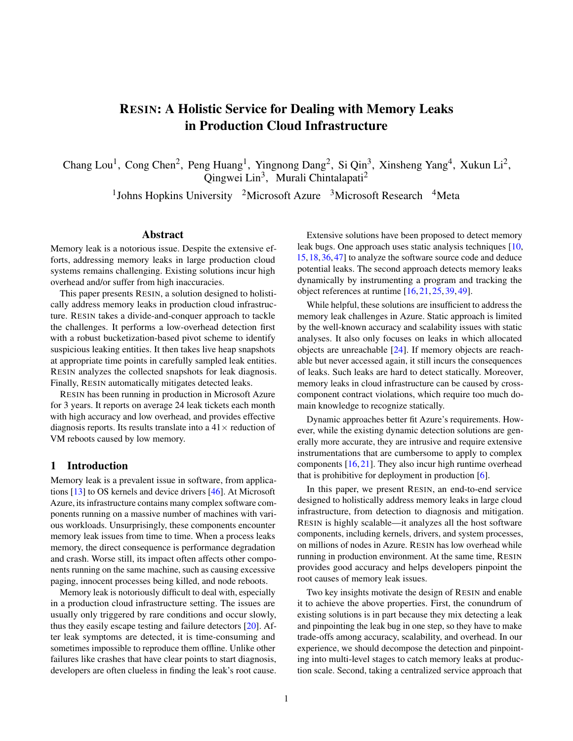# RESIN: A Holistic Service for Dealing with Memory Leaks in Production Cloud Infrastructure

Chang Lou<sup>1</sup>, Cong Chen<sup>2</sup>, Peng Huang<sup>1</sup>, Yingnong Dang<sup>2</sup>, Si Qin<sup>3</sup>, Xinsheng Yang<sup>4</sup>, Xukun Li<sup>2</sup>, Qingwei Lin<sup>3</sup>, Murali Chintalapati<sup>2</sup>

<sup>1</sup>Johns Hopkins University <sup>2</sup>Microsoft Azure <sup>3</sup>Microsoft Research <sup>4</sup>Meta

#### Abstract

Memory leak is a notorious issue. Despite the extensive efforts, addressing memory leaks in large production cloud systems remains challenging. Existing solutions incur high overhead and/or suffer from high inaccuracies.

This paper presents RESIN, a solution designed to holistically address memory leaks in production cloud infrastructure. RESIN takes a divide-and-conquer approach to tackle the challenges. It performs a low-overhead detection first with a robust bucketization-based pivot scheme to identify suspicious leaking entities. It then takes live heap snapshots at appropriate time points in carefully sampled leak entities. RESIN analyzes the collected snapshots for leak diagnosis. Finally, RESIN automatically mitigates detected leaks.

RESIN has been running in production in Microsoft Azure for 3 years. It reports on average 24 leak tickets each month with high accuracy and low overhead, and provides effective diagnosis reports. Its results translate into a  $41\times$  reduction of VM reboots caused by low memory.

#### 1 Introduction

Memory leak is a prevalent issue in software, from applications [\[13\]](#page-14-0) to OS kernels and device drivers [\[46\]](#page-15-0). At Microsoft Azure, its infrastructure contains many complex software components running on a massive number of machines with various workloads. Unsurprisingly, these components encounter memory leak issues from time to time. When a process leaks memory, the direct consequence is performance degradation and crash. Worse still, its impact often affects other components running on the same machine, such as causing excessive paging, innocent processes being killed, and node reboots.

Memory leak is notoriously difficult to deal with, especially in a production cloud infrastructure setting. The issues are usually only triggered by rare conditions and occur slowly, thus they easily escape testing and failure detectors [\[20\]](#page-14-1). After leak symptoms are detected, it is time-consuming and sometimes impossible to reproduce them offline. Unlike other failures like crashes that have clear points to start diagnosis, developers are often clueless in finding the leak's root cause.

Extensive solutions have been proposed to detect memory leak bugs. One approach uses static analysis techniques [\[10,](#page-14-2) [15,](#page-14-3)[18,](#page-14-4)[36,](#page-15-1)[47\]](#page-15-2) to analyze the software source code and deduce potential leaks. The second approach detects memory leaks dynamically by instrumenting a program and tracking the object references at runtime [\[16,](#page-14-5) [21,](#page-14-6) [25,](#page-14-7) [39,](#page-15-3) [49\]](#page-16-0).

While helpful, these solutions are insufficient to address the memory leak challenges in Azure. Static approach is limited by the well-known accuracy and scalability issues with static analyses. It also only focuses on leaks in which allocated objects are unreachable [\[24\]](#page-14-8). If memory objects are reachable but never accessed again, it still incurs the consequences of leaks. Such leaks are hard to detect statically. Moreover, memory leaks in cloud infrastructure can be caused by crosscomponent contract violations, which require too much domain knowledge to recognize statically.

Dynamic approaches better fit Azure's requirements. However, while the existing dynamic detection solutions are generally more accurate, they are intrusive and require extensive instrumentations that are cumbersome to apply to complex components  $[16, 21]$  $[16, 21]$  $[16, 21]$ . They also incur high runtime overhead that is prohibitive for deployment in production [\[6\]](#page-14-9).

In this paper, we present RESIN, an end-to-end service designed to holistically address memory leaks in large cloud infrastructure, from detection to diagnosis and mitigation. RESIN is highly scalable—it analyzes all the host software components, including kernels, drivers, and system processes, on millions of nodes in Azure. RESIN has low overhead while running in production environment. At the same time, RESIN provides good accuracy and helps developers pinpoint the root causes of memory leak issues.

Two key insights motivate the design of RESIN and enable it to achieve the above properties. First, the conundrum of existing solutions is in part because they mix detecting a leak and pinpointing the leak bug in one step, so they have to make trade-offs among accuracy, scalability, and overhead. In our experience, we should decompose the detection and pinpointing into multi-level stages to catch memory leaks at production scale. Second, taking a centralized service approach that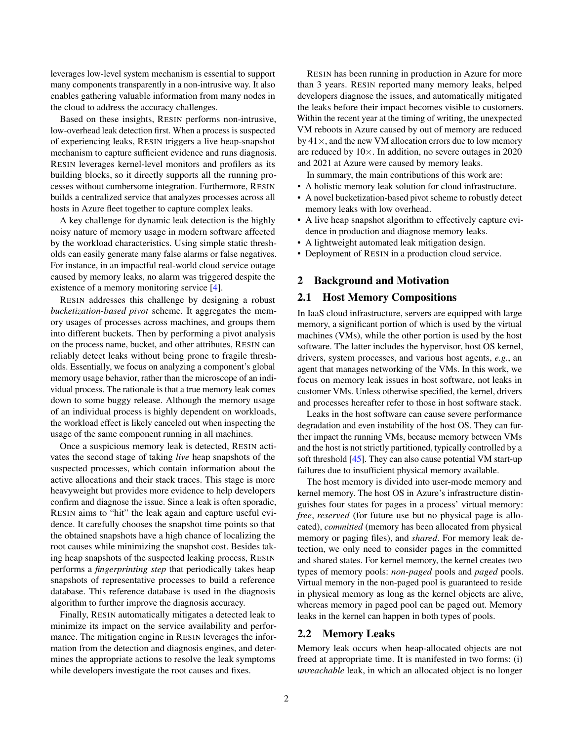leverages low-level system mechanism is essential to support many components transparently in a non-intrusive way. It also enables gathering valuable information from many nodes in the cloud to address the accuracy challenges.

Based on these insights, RESIN performs non-intrusive, low-overhead leak detection first. When a process is suspected of experiencing leaks, RESIN triggers a live heap-snapshot mechanism to capture sufficient evidence and runs diagnosis. RESIN leverages kernel-level monitors and profilers as its building blocks, so it directly supports all the running processes without cumbersome integration. Furthermore, RESIN builds a centralized service that analyzes processes across all hosts in Azure fleet together to capture complex leaks.

A key challenge for dynamic leak detection is the highly noisy nature of memory usage in modern software affected by the workload characteristics. Using simple static thresholds can easily generate many false alarms or false negatives. For instance, in an impactful real-world cloud service outage caused by memory leaks, no alarm was triggered despite the existence of a memory monitoring service [\[4\]](#page-14-10).

RESIN addresses this challenge by designing a robust *bucketization-based pivot* scheme. It aggregates the memory usages of processes across machines, and groups them into different buckets. Then by performing a pivot analysis on the process name, bucket, and other attributes, RESIN can reliably detect leaks without being prone to fragile thresholds. Essentially, we focus on analyzing a component's global memory usage behavior, rather than the microscope of an individual process. The rationale is that a true memory leak comes down to some buggy release. Although the memory usage of an individual process is highly dependent on workloads, the workload effect is likely canceled out when inspecting the usage of the same component running in all machines.

Once a suspicious memory leak is detected, RESIN activates the second stage of taking *live* heap snapshots of the suspected processes, which contain information about the active allocations and their stack traces. This stage is more heavyweight but provides more evidence to help developers confirm and diagnose the issue. Since a leak is often sporadic, RESIN aims to "hit" the leak again and capture useful evidence. It carefully chooses the snapshot time points so that the obtained snapshots have a high chance of localizing the root causes while minimizing the snapshot cost. Besides taking heap snapshots of the suspected leaking process, RESIN performs a *fingerprinting step* that periodically takes heap snapshots of representative processes to build a reference database. This reference database is used in the diagnosis algorithm to further improve the diagnosis accuracy.

Finally, RESIN automatically mitigates a detected leak to minimize its impact on the service availability and performance. The mitigation engine in RESIN leverages the information from the detection and diagnosis engines, and determines the appropriate actions to resolve the leak symptoms while developers investigate the root causes and fixes.

RESIN has been running in production in Azure for more than 3 years. RESIN reported many memory leaks, helped developers diagnose the issues, and automatically mitigated the leaks before their impact becomes visible to customers. Within the recent year at the timing of writing, the unexpected VM reboots in Azure caused by out of memory are reduced by  $41 \times$ , and the new VM allocation errors due to low memory are reduced by  $10 \times$ . In addition, no severe outages in 2020 and 2021 at Azure were caused by memory leaks.

In summary, the main contributions of this work are:

- A holistic memory leak solution for cloud infrastructure.
- A novel bucketization-based pivot scheme to robustly detect memory leaks with low overhead.
- A live heap snapshot algorithm to effectively capture evidence in production and diagnose memory leaks.
- A lightweight automated leak mitigation design.
- Deployment of RESIN in a production cloud service.

#### 2 Background and Motivation

#### 2.1 Host Memory Compositions

In IaaS cloud infrastructure, servers are equipped with large memory, a significant portion of which is used by the virtual machines (VMs), while the other portion is used by the host software. The latter includes the hypervisor, host OS kernel, drivers, system processes, and various host agents, *e.g.*, an agent that manages networking of the VMs. In this work, we focus on memory leak issues in host software, not leaks in customer VMs. Unless otherwise specified, the kernel, drivers and processes hereafter refer to those in host software stack.

Leaks in the host software can cause severe performance degradation and even instability of the host OS. They can further impact the running VMs, because memory between VMs and the host is not strictly partitioned, typically controlled by a soft threshold [\[45\]](#page-15-4). They can also cause potential VM start-up failures due to insufficient physical memory available.

The host memory is divided into user-mode memory and kernel memory. The host OS in Azure's infrastructure distinguishes four states for pages in a process' virtual memory: *free*, *reserved* (for future use but no physical page is allocated), *committed* (memory has been allocated from physical memory or paging files), and *shared*. For memory leak detection, we only need to consider pages in the committed and shared states. For kernel memory, the kernel creates two types of memory pools: *non-paged* pools and *paged* pools. Virtual memory in the non-paged pool is guaranteed to reside in physical memory as long as the kernel objects are alive, whereas memory in paged pool can be paged out. Memory leaks in the kernel can happen in both types of pools.

#### 2.2 Memory Leaks

Memory leak occurs when heap-allocated objects are not freed at appropriate time. It is manifested in two forms: (i) *unreachable* leak, in which an allocated object is no longer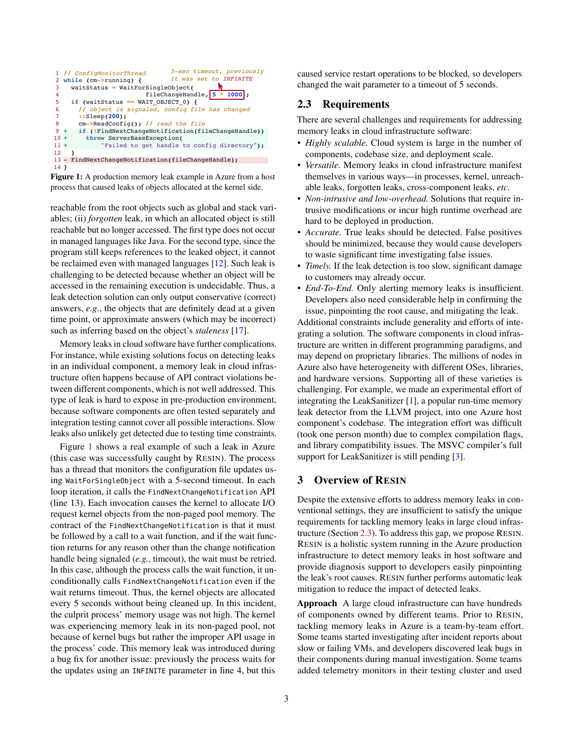<span id="page-2-0"></span>

|                |                                     | 5-sec timeout, previously<br>1 // ConfigMonitorThread |  |  |  |  |  |
|----------------|-------------------------------------|-------------------------------------------------------|--|--|--|--|--|
|                |                                     | it was set to INFINITE<br>2 while (cm->running) {     |  |  |  |  |  |
| 3              | $waitStatus = WaitForSingleObject($ |                                                       |  |  |  |  |  |
| 4              |                                     | fileChangeHandle, 5 * 1000;                           |  |  |  |  |  |
| -5             | if (waitStatus == WAIT OBJECT 0) {  |                                                       |  |  |  |  |  |
| 6              |                                     | // object is signaled, config file has changed        |  |  |  |  |  |
| $\overline{7}$ |                                     | $:$ Sleep(200);                                       |  |  |  |  |  |
| -8             |                                     | $cm$ ->ReadConfig(); // read the file                 |  |  |  |  |  |
| $9 +$          |                                     | if (!FindNextChangeNotification(fileChangeHandle))    |  |  |  |  |  |
| $10 +$         |                                     | throw ServerBaseException(                            |  |  |  |  |  |
| $11 +$         |                                     | "Failed to get handle to config directory"):          |  |  |  |  |  |
| 12             |                                     |                                                       |  |  |  |  |  |
|                |                                     | 13 - FindNextChangeNotification(fileChangeHandle);    |  |  |  |  |  |
| 14 }           |                                     |                                                       |  |  |  |  |  |

Figure 1: A production memory leak example in Azure from a host process that caused leaks of objects allocated at the kernel side.

reachable from the root objects such as global and stack variables; (ii) *forgotten* leak, in which an allocated object is still reachable but no longer accessed. The first type does not occur in managed languages like Java. For the second type, since the program still keeps references to the leaked object, it cannot be reclaimed even with managed languages [\[12\]](#page-14-11). Such leak is challenging to be detected because whether an object will be accessed in the remaining execution is undecidable. Thus, a leak detection solution can only output conservative (correct) answers, *e.g.*, the objects that are definitely dead at a given time point, or approximate answers (which may be incorrect) such as inferring based on the object's *staleness* [\[17\]](#page-14-12).

Memory leaks in cloud software have further complications. For instance, while existing solutions focus on detecting leaks in an individual component, a memory leak in cloud infrastructure often happens because of API contract violations between different components, which is not well addressed. This type of leak is hard to expose in pre-production environment, because software components are often tested separately and integration testing cannot cover all possible interactions. Slow leaks also unlikely get detected due to testing time constraints.

Figure [1](#page-2-0) shows a real example of such a leak in Azure (this case was successfully caught by RESIN). The process has a thread that monitors the configuration file updates using WaitForSingleObject with a 5-second timeout. In each loop iteration, it calls the FindNextChangeNotification API (line 13). Each invocation causes the kernel to allocate I/O request kernel objects from the non-paged pool memory. The contract of the FindNextChangeNotification is that it must be followed by a call to a wait function, and if the wait function returns for any reason other than the change notification handle being signaled (*e.g.*, timeout), the wait must be retried. In this case, although the process calls the wait function, it unconditionally calls FindNextChangeNotification even if the wait returns timeout. Thus, the kernel objects are allocated every 5 seconds without being cleaned up. In this incident, the culprit process' memory usage was not high. The kernel was experiencing memory leak in its non-paged pool, not because of kernel bugs but rather the improper API usage in the process' code. This memory leak was introduced during a bug fix for another issue: previously the process waits for the updates using an INFINITE parameter in line 4, but this

caused service restart operations to be blocked, so developers changed the wait parameter to a timeout of 5 seconds.

### <span id="page-2-1"></span>2.3 Requirements

There are several challenges and requirements for addressing memory leaks in cloud infrastructure software:

- *Highly scalable.* Cloud system is large in the number of components, codebase size, and deployment scale.
- *Versatile.* Memory leaks in cloud infrastructure manifest themselves in various ways—in processes, kernel, unreachable leaks, forgotten leaks, cross-component leaks, *etc.*
- *Non-intrusive and low-overhead.* Solutions that require intrusive modifications or incur high runtime overhead are hard to be deployed in production.
- *Accurate.* True leaks should be detected. False positives should be minimized, because they would cause developers to waste significant time investigating false issues.
- *Timely.* If the leak detection is too slow, significant damage to customers may already occur.
- *End-To-End.* Only alerting memory leaks is insufficient. Developers also need considerable help in confirming the issue, pinpointing the root cause, and mitigating the leak.

Additional constraints include generality and efforts of integrating a solution. The software components in cloud infrastructure are written in different programming paradigms, and may depend on proprietary libraries. The millions of nodes in Azure also have heterogeneity with different OSes, libraries, and hardware versions. Supporting all of these varieties is challenging. For example, we made an experimental effort of integrating the LeakSanitizer [\[1\]](#page-14-13), a popular run-time memory leak detector from the LLVM project, into one Azure host component's codebase. The integration effort was difficult (took one person month) due to complex compilation flags, and library compatibility issues. The MSVC compiler's full support for LeakSanitizer is still pending [\[3\]](#page-14-14).

## 3 Overview of RESIN

Despite the extensive efforts to address memory leaks in conventional settings, they are insufficient to satisfy the unique requirements for tackling memory leaks in large cloud infrastructure (Section [2.3\)](#page-2-1). To address this gap, we propose RESIN. RESIN is a holistic system running in the Azure production infrastructure to detect memory leaks in host software and provide diagnosis support to developers easily pinpointing the leak's root causes. RESIN further performs automatic leak mitigation to reduce the impact of detected leaks.

Approach A large cloud infrastructure can have hundreds of components owned by different teams. Prior to RESIN, tackling memory leaks in Azure is a team-by-team effort. Some teams started investigating after incident reports about slow or failing VMs, and developers discovered leak bugs in their components during manual investigation. Some teams added telemetry monitors in their testing cluster and used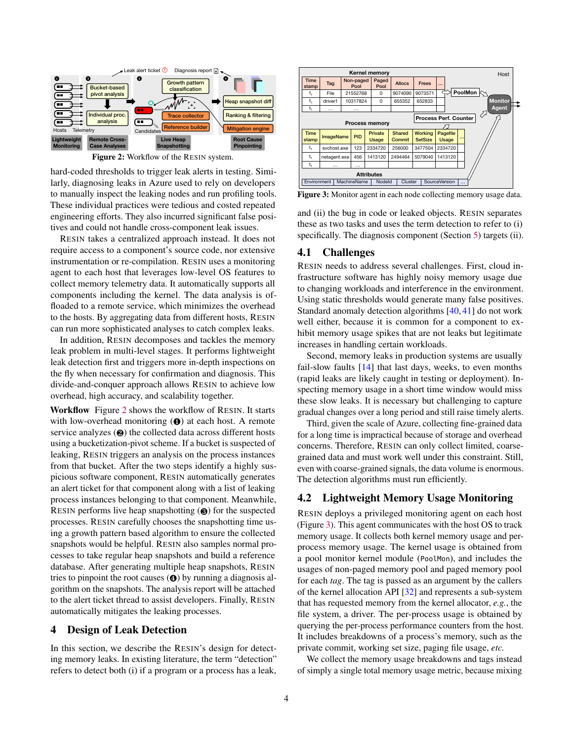<span id="page-3-0"></span>

Figure 2: Workflow of the RESIN system.

hard-coded thresholds to trigger leak alerts in testing. Similarly, diagnosing leaks in Azure used to rely on developers to manually inspect the leaking nodes and run profiling tools. These individual practices were tedious and costed repeated engineering efforts. They also incurred significant false positives and could not handle cross-component leak issues.

RESIN takes a centralized approach instead. It does not require access to a component's source code, nor extensive instrumentation or re-compilation. RESIN uses a monitoring agent to each host that leverages low-level OS features to collect memory telemetry data. It automatically supports all components including the kernel. The data analysis is offloaded to a remote service, which minimizes the overhead to the hosts. By aggregating data from different hosts, RESIN can run more sophisticated analyses to catch complex leaks.

In addition, RESIN decomposes and tackles the memory leak problem in multi-level stages. It performs lightweight leak detection first and triggers more in-depth inspections on the fly when necessary for confirmation and diagnosis. This divide-and-conquer approach allows RESIN to achieve low overhead, high accuracy, and scalability together.

Workflow Figure [2](#page-3-0) shows the workflow of RESIN. It starts with low-overhead monitoring ( $\odot$ ) at each host. A remote service analyzes (<sup>2</sup>) the collected data across different hosts using a bucketization-pivot scheme. If a bucket is suspected of leaking, RESIN triggers an analysis on the process instances from that bucket. After the two steps identify a highly suspicious software component, RESIN automatically generates an alert ticket for that component along with a list of leaking process instances belonging to that component. Meanwhile, RESIN performs live heap snapshotting (❸) for the suspected processes. RESIN carefully chooses the snapshotting time using a growth pattern based algorithm to ensure the collected snapshots would be helpful. RESIN also samples normal processes to take regular heap snapshots and build a reference database. After generating multiple heap snapshots, RESIN tries to pinpoint the root causes (❹) by running a diagnosis algorithm on the snapshots. The analysis report will be attached to the alert ticket thread to assist developers. Finally, RESIN automatically mitigates the leaking processes.

#### 4 Design of Leak Detection

In this section, we describe the RESIN's design for detecting memory leaks. In existing literature, the term "detection" refers to detect both (i) if a program or a process has a leak,

<span id="page-3-1"></span>

Figure 3: Monitor agent in each node collecting memory usage data.

and (ii) the bug in code or leaked objects. RESIN separates these as two tasks and uses the term detection to refer to (i) specifically. The diagnosis component (Section [5\)](#page-6-0) targets (ii).

#### <span id="page-3-2"></span>4.1 Challenges

RESIN needs to address several challenges. First, cloud infrastructure software has highly noisy memory usage due to changing workloads and interference in the environment. Using static thresholds would generate many false positives. Standard anomaly detection algorithms [\[40,](#page-15-5) [41\]](#page-15-6) do not work well either, because it is common for a component to exhibit memory usage spikes that are not leaks but legitimate increases in handling certain workloads.

Second, memory leaks in production systems are usually fail-slow faults  $[14]$  that last days, weeks, to even months (rapid leaks are likely caught in testing or deployment). Inspecting memory usage in a short time window would miss these slow leaks. It is necessary but challenging to capture gradual changes over a long period and still raise timely alerts.

Third, given the scale of Azure, collecting fine-grained data for a long time is impractical because of storage and overhead concerns. Therefore, RESIN can only collect limited, coarsegrained data and must work well under this constraint. Still, even with coarse-grained signals, the data volume is enormous. The detection algorithms must run efficiently.

## 4.2 Lightweight Memory Usage Monitoring

RESIN deploys a privileged monitoring agent on each host (Figure [3\)](#page-3-1). This agent communicates with the host OS to track memory usage. It collects both kernel memory usage and perprocess memory usage. The kernel usage is obtained from a pool monitor kernel module (PoolMon), and includes the usages of non-paged memory pool and paged memory pool for each *tag*. The tag is passed as an argument by the callers of the kernel allocation API [\[32\]](#page-15-7) and represents a sub-system that has requested memory from the kernel allocator, *e.g.*, the file system, a driver. The per-process usage is obtained by querying the per-process performance counters from the host. It includes breakdowns of a process's memory, such as the private commit, working set size, paging file usage, *etc.*

We collect the memory usage breakdowns and tags instead of simply a single total memory usage metric, because mixing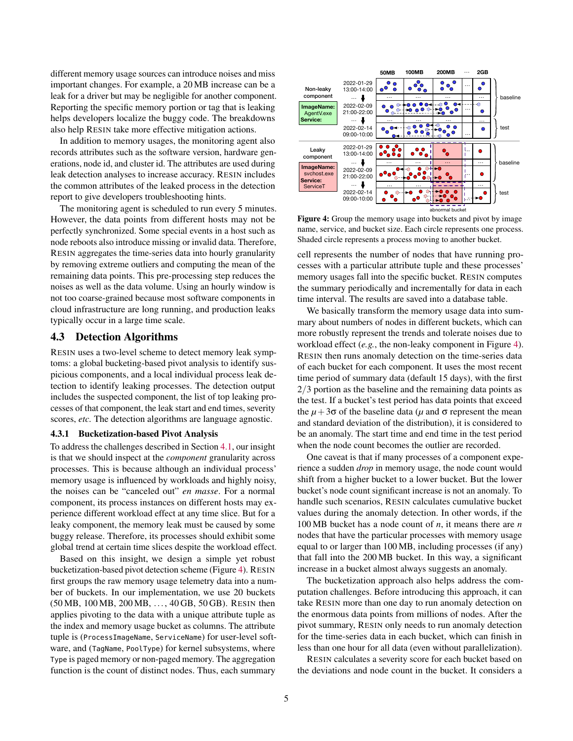different memory usage sources can introduce noises and miss important changes. For example, a 20 MB increase can be a leak for a driver but may be negligible for another component. Reporting the specific memory portion or tag that is leaking helps developers localize the buggy code. The breakdowns also help RESIN take more effective mitigation actions.

In addition to memory usages, the monitoring agent also records attributes such as the software version, hardware generations, node id, and cluster id. The attributes are used during leak detection analyses to increase accuracy. RESIN includes the common attributes of the leaked process in the detection report to give developers troubleshooting hints.

The monitoring agent is scheduled to run every 5 minutes. However, the data points from different hosts may not be perfectly synchronized. Some special events in a host such as node reboots also introduce missing or invalid data. Therefore, RESIN aggregates the time-series data into hourly granularity by removing extreme outliers and computing the mean of the remaining data points. This pre-processing step reduces the noises as well as the data volume. Using an hourly window is not too coarse-grained because most software components in cloud infrastructure are long running, and production leaks typically occur in a large time scale.

#### <span id="page-4-1"></span>4.3 Detection Algorithms

RESIN uses a two-level scheme to detect memory leak symptoms: a global bucketing-based pivot analysis to identify suspicious components, and a local individual process leak detection to identify leaking processes. The detection output includes the suspected component, the list of top leaking processes of that component, the leak start and end times, severity scores, *etc.* The detection algorithms are language agnostic.

#### <span id="page-4-2"></span>4.3.1 Bucketization-based Pivot Analysis

To address the challenges described in Section [4.1,](#page-3-2) our insight is that we should inspect at the *component* granularity across processes. This is because although an individual process' memory usage is influenced by workloads and highly noisy, the noises can be "canceled out" *en masse*. For a normal component, its process instances on different hosts may experience different workload effect at any time slice. But for a leaky component, the memory leak must be caused by some buggy release. Therefore, its processes should exhibit some global trend at certain time slices despite the workload effect.

Based on this insight, we design a simple yet robust bucketization-based pivot detection scheme (Figure [4\)](#page-4-0). RESIN first groups the raw memory usage telemetry data into a number of buckets. In our implementation, we use 20 buckets (50 MB, 100 MB, 200 MB, ..., 40 GB, 50 GB). RESIN then applies pivoting to the data with a unique attribute tuple as the index and memory usage bucket as columns. The attribute tuple is (ProcessImageName, ServiceName) for user-level software, and (TagName, PoolType) for kernel subsystems, where Type is paged memory or non-paged memory. The aggregation function is the count of distinct nodes. Thus, each summary

<span id="page-4-0"></span>

Figure 4: Group the memory usage into buckets and pivot by image name, service, and bucket size. Each circle represents one process. Shaded circle represents a process moving to another bucket.

cell represents the number of nodes that have running processes with a particular attribute tuple and these processes' memory usages fall into the specific bucket. RESIN computes the summary periodically and incrementally for data in each time interval. The results are saved into a database table.

We basically transform the memory usage data into summary about numbers of nodes in different buckets, which can more robustly represent the trends and tolerate noises due to workload effect (*e.g.*, the non-leaky component in Figure [4\)](#page-4-0). RESIN then runs anomaly detection on the time-series data of each bucket for each component. It uses the most recent time period of summary data (default 15 days), with the first 2/3 portion as the baseline and the remaining data points as the test. If a bucket's test period has data points that exceed the  $\mu$ +3 $\sigma$  of the baseline data ( $\mu$  and  $\sigma$  represent the mean and standard deviation of the distribution), it is considered to be an anomaly. The start time and end time in the test period when the node count becomes the outlier are recorded.

One caveat is that if many processes of a component experience a sudden *drop* in memory usage, the node count would shift from a higher bucket to a lower bucket. But the lower bucket's node count significant increase is not an anomaly. To handle such scenarios, RESIN calculates cumulative bucket values during the anomaly detection. In other words, if the 100 MB bucket has a node count of *n*, it means there are *n* nodes that have the particular processes with memory usage equal to or larger than 100 MB, including processes (if any) that fall into the 200 MB bucket. In this way, a significant increase in a bucket almost always suggests an anomaly.

The bucketization approach also helps address the computation challenges. Before introducing this approach, it can take RESIN more than one day to run anomaly detection on the enormous data points from millions of nodes. After the pivot summary, RESIN only needs to run anomaly detection for the time-series data in each bucket, which can finish in less than one hour for all data (even without parallelization).

RESIN calculates a severity score for each bucket based on the deviations and node count in the bucket. It considers a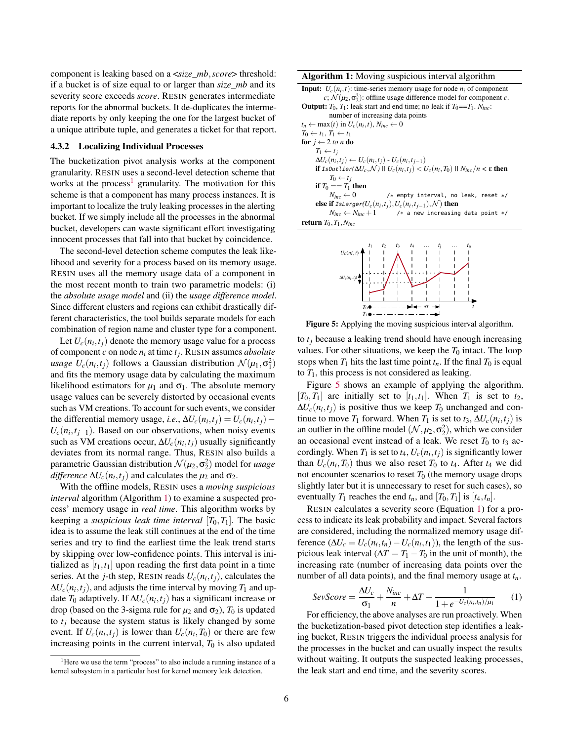component is leaking based on a <*size*\_*mb*,*score*> threshold: if a bucket is of size equal to or larger than *size*\_*mb* and its severity score exceeds *score*. RESIN generates intermediate reports for the abnormal buckets. It de-duplicates the intermediate reports by only keeping the one for the largest bucket of a unique attribute tuple, and generates a ticket for that report.

#### <span id="page-5-4"></span>4.3.2 Localizing Individual Processes

The bucketization pivot analysis works at the component granularity. RESIN uses a second-level detection scheme that works at the process<sup>[1](#page-5-0)</sup> granularity. The motivation for this scheme is that a component has many process instances. It is important to localize the truly leaking processes in the alerting bucket. If we simply include all the processes in the abnormal bucket, developers can waste significant effort investigating innocent processes that fall into that bucket by coincidence.

The second-level detection scheme computes the leak likelihood and severity for a process based on its memory usage. RESIN uses all the memory usage data of a component in the most recent month to train two parametric models: (i) the *absolute usage model* and (ii) the *usage difference model*. Since different clusters and regions can exhibit drastically different characteristics, the tool builds separate models for each combination of region name and cluster type for a component.

Let  $U_c(n_i, t_j)$  denote the memory usage value for a process of component *c* on node *n<sup>i</sup>* at time *t<sup>j</sup>* . RESIN assumes *absolute usage*  $U_c(n_i, t_j)$  follows a Gaussian distribution  $\mathcal{N}(\mu_1, \sigma_1^2)$ and fits the memory usage data by calculating the maximum likelihood estimators for  $\mu_1$  and  $\sigma_1$ . The absolute memory usage values can be severely distorted by occasional events such as VM creations. To account for such events, we consider the differential memory usage, *i.e.*,  $\Delta U_c(n_i, t_j) = U_c(n_i, t_j) U_c(n_i, t_{j-1})$ . Based on our observations, when noisy events such as VM creations occur,  $\Delta U_c(n_i, t_j)$  usually significantly deviates from its normal range. Thus, RESIN also builds a parametric Gaussian distribution  $\mathcal{N}(\mu_2, \sigma_2^2)$  model for *usage difference*  $\Delta U_c(n_i, t_j)$  and calculates the  $\mu_2$  and  $\sigma_2$ .

With the offline models, RESIN uses a *moving suspicious interval* algorithm (Algorithm [1\)](#page-5-1) to examine a suspected process' memory usage in *real time*. This algorithm works by keeping a *suspicious leak time interval*  $[T_0, T_1]$ . The basic idea is to assume the leak still continues at the end of the time series and try to find the earliest time the leak trend starts by skipping over low-confidence points. This interval is initialized as  $[t_1,t_1]$  upon reading the first data point in a time series. At the *j*-th step, RESIN reads  $U_c(n_i, t_j)$ , calculates the  $\Delta U_c(n_i, t_j)$ , and adjusts the time interval by moving  $T_1$  and update  $T_0$  adaptively. If  $\Delta U_c(n_i, t_j)$  has a significant increase or drop (based on the 3-sigma rule for  $\mu_2$  and  $\sigma_2$ ),  $T_0$  is updated to *t<sup>j</sup>* because the system status is likely changed by some event. If  $U_c(n_i, t_j)$  is lower than  $U_c(n_i, T_0)$  or there are few increasing points in the current interval,  $T_0$  is also updated

Algorithm 1: Moving suspicious interval algorithm

**Input:**  $U_c(n_i, t)$ : time-series memory usage for node  $n_i$  of component  $c; \mathcal{N}(\mu_2, \sigma_2^2)$ : offline usage difference model for component *c*. **Output:**  $T_0$ ,  $T_1$ : leak start and end time; no leak if  $T_0 = T_1$ .  $N_{inc}$ :

number of increasing data points  $t_n \leftarrow \max(t)$  in  $U_c(n_i, t)$ ,  $N_{inc} \leftarrow 0$  $T_0 \leftarrow t_1, T_1 \leftarrow t_1$ for  $j \leftarrow 2$  to n do  $T_1 \leftarrow t_j$  $\Delta U_c(n_i, t_j)$  ←  $U_c(n_i, t_j)$  -  $U_c(n_i, t_{j-1})$  $i$ ff IsOutlier $(\Delta U_c, \mathcal{N})$  ||  $U_c(n_i, t_j) < U_c(n_i, T_0)$  ||  $N_{inc}/n < \varepsilon$  then  $T_0 \leftarrow t_j$ if  $T_0 == T_1$  then<br> $N_{inc} \leftarrow 0$ /\* empty interval, no leak, reset \*/  ${\bf else \ if \ } I$ sLarger $(U_c(n_i,t_j),U_c(n_i,t_{j-1}),{\cal N})$  then  $N_{inc} \leftarrow N_{inc} + 1$  /\* a new increasing data point \*/

<span id="page-5-2"></span><span id="page-5-1"></span>return  $T_0, T_1, N_{inc}$ 



Figure 5: Applying the moving suspicious interval algorithm.

to  $t_j$  because a leaking trend should have enough increasing values. For other situations, we keep the  $T_0$  intact. The loop stops when  $T_1$  hits the last time point  $t_n$ . If the final  $T_0$  is equal to  $T_1$ , this process is not considered as leaking.

Figure [5](#page-5-2) shows an example of applying the algorithm.  $[T_0, T_1]$  are initially set to  $[t_1, t_1]$ . When  $T_1$  is set to  $t_2$ ,  $\Delta U_c(n_i, t_j)$  is positive thus we keep  $T_0$  unchanged and continue to move  $T_1$  forward. When  $T_1$  is set to  $t_3$ ,  $\Delta U_c(n_i, t_j)$  is an outlier in the offline model  $(N, \mu_2, \sigma_2^2)$ , which we consider an occasional event instead of a leak. We reset  $T_0$  to  $t_3$  accordingly. When  $T_1$  is set to  $t_4$ ,  $U_c(n_i, t_j)$  is significantly lower than  $U_c(n_i, T_0)$  thus we also reset  $T_0$  to  $t_4$ . After  $t_4$  we did not encounter scenarios to reset  $T_0$  (the memory usage drops slightly later but it is unnecessary to reset for such cases), so eventually  $T_1$  reaches the end  $t_n$ , and  $[T_0, T_1]$  is  $[t_4, t_n]$ .

RESIN calculates a severity score (Equation [1\)](#page-5-3) for a process to indicate its leak probability and impact. Several factors are considered, including the normalized memory usage difference ( $\Delta U_c = U_c(n_i, t_n) - U_c(n_i, t_1)$ ), the length of the suspicious leak interval ( $\Delta T = T_1 - T_0$  in the unit of month), the increasing rate (number of increasing data points over the number of all data points), and the final memory usage at *tn*.

<span id="page-5-3"></span>
$$
SevScore = \frac{\Delta U_c}{\sigma_1} + \frac{N_{inc}}{n} + \Delta T + \frac{1}{1 + e^{-U_c(n_i, t_n)/\mu_1}} \qquad (1)
$$

For efficiency, the above analyses are run proactively. When the bucketization-based pivot detection step identifies a leaking bucket, RESIN triggers the individual process analysis for the processes in the bucket and can usually inspect the results without waiting. It outputs the suspected leaking processes, the leak start and end time, and the severity scores.

<span id="page-5-0"></span><sup>&</sup>lt;sup>1</sup>Here we use the term "process" to also include a running instance of a kernel subsystem in a particular host for kernel memory leak detection.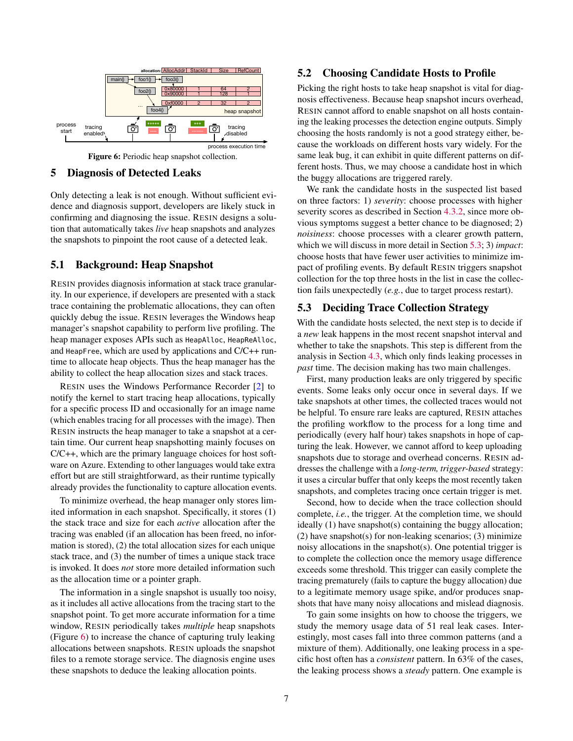<span id="page-6-1"></span>

Figure 6: Periodic heap snapshot collection.

#### <span id="page-6-0"></span>5 Diagnosis of Detected Leaks

Only detecting a leak is not enough. Without sufficient evidence and diagnosis support, developers are likely stuck in confirming and diagnosing the issue. RESIN designs a solution that automatically takes *live* heap snapshots and analyzes the snapshots to pinpoint the root cause of a detected leak.

## 5.1 Background: Heap Snapshot

RESIN provides diagnosis information at stack trace granularity. In our experience, if developers are presented with a stack trace containing the problematic allocations, they can often quickly debug the issue. RESIN leverages the Windows heap manager's snapshot capability to perform live profiling. The heap manager exposes APIs such as HeapAlloc, HeapReAlloc, and HeapFree, which are used by applications and C/C++ runtime to allocate heap objects. Thus the heap manager has the ability to collect the heap allocation sizes and stack traces.

RESIN uses the Windows Performance Recorder [\[2\]](#page-14-16) to notify the kernel to start tracing heap allocations, typically for a specific process ID and occasionally for an image name (which enables tracing for all processes with the image). Then RESIN instructs the heap manager to take a snapshot at a certain time. Our current heap snapshotting mainly focuses on C/C++, which are the primary language choices for host software on Azure. Extending to other languages would take extra effort but are still straightforward, as their runtime typically already provides the functionality to capture allocation events.

To minimize overhead, the heap manager only stores limited information in each snapshot. Specifically, it stores (1) the stack trace and size for each *active* allocation after the tracing was enabled (if an allocation has been freed, no information is stored), (2) the total allocation sizes for each unique stack trace, and (3) the number of times a unique stack trace is invoked. It does *not* store more detailed information such as the allocation time or a pointer graph.

The information in a single snapshot is usually too noisy, as it includes all active allocations from the tracing start to the snapshot point. To get more accurate information for a time window, RESIN periodically takes *multiple* heap snapshots (Figure [6\)](#page-6-1) to increase the chance of capturing truly leaking allocations between snapshots. RESIN uploads the snapshot files to a remote storage service. The diagnosis engine uses these snapshots to deduce the leaking allocation points.

### <span id="page-6-3"></span>5.2 Choosing Candidate Hosts to Profile

Picking the right hosts to take heap snapshot is vital for diagnosis effectiveness. Because heap snapshot incurs overhead, RESIN cannot afford to enable snapshot on all hosts containing the leaking processes the detection engine outputs. Simply choosing the hosts randomly is not a good strategy either, because the workloads on different hosts vary widely. For the same leak bug, it can exhibit in quite different patterns on different hosts. Thus, we may choose a candidate host in which the buggy allocations are triggered rarely.

We rank the candidate hosts in the suspected list based on three factors: 1) *severity*: choose processes with higher severity scores as described in Section [4.3.2,](#page-5-4) since more obvious symptoms suggest a better chance to be diagnosed; 2) *noisiness*: choose processes with a clearer growth pattern, which we will discuss in more detail in Section [5.3;](#page-6-2) 3) *impact*: choose hosts that have fewer user activities to minimize impact of profiling events. By default RESIN triggers snapshot collection for the top three hosts in the list in case the collection fails unexpectedly (*e.g.*, due to target process restart).

## <span id="page-6-2"></span>5.3 Deciding Trace Collection Strategy

With the candidate hosts selected, the next step is to decide if a *new* leak happens in the most recent snapshot interval and whether to take the snapshots. This step is different from the analysis in Section [4.3,](#page-4-1) which only finds leaking processes in *past* time. The decision making has two main challenges.

First, many production leaks are only triggered by specific events. Some leaks only occur once in several days. If we take snapshots at other times, the collected traces would not be helpful. To ensure rare leaks are captured, RESIN attaches the profiling workflow to the process for a long time and periodically (every half hour) takes snapshots in hope of capturing the leak. However, we cannot afford to keep uploading snapshots due to storage and overhead concerns. RESIN addresses the challenge with a *long-term, trigger-based* strategy: it uses a circular buffer that only keeps the most recently taken snapshots, and completes tracing once certain trigger is met.

Second, how to decide when the trace collection should complete, *i.e.*, the trigger. At the completion time, we should ideally (1) have snapshot(s) containing the buggy allocation;  $(2)$  have snapshot $(s)$  for non-leaking scenarios;  $(3)$  minimize noisy allocations in the snapshot(s). One potential trigger is to complete the collection once the memory usage difference exceeds some threshold. This trigger can easily complete the tracing prematurely (fails to capture the buggy allocation) due to a legitimate memory usage spike, and/or produces snapshots that have many noisy allocations and mislead diagnosis.

To gain some insights on how to choose the triggers, we study the memory usage data of 51 real leak cases. Interestingly, most cases fall into three common patterns (and a mixture of them). Additionally, one leaking process in a specific host often has a *consistent* pattern. In 63% of the cases, the leaking process shows a *steady* pattern. One example is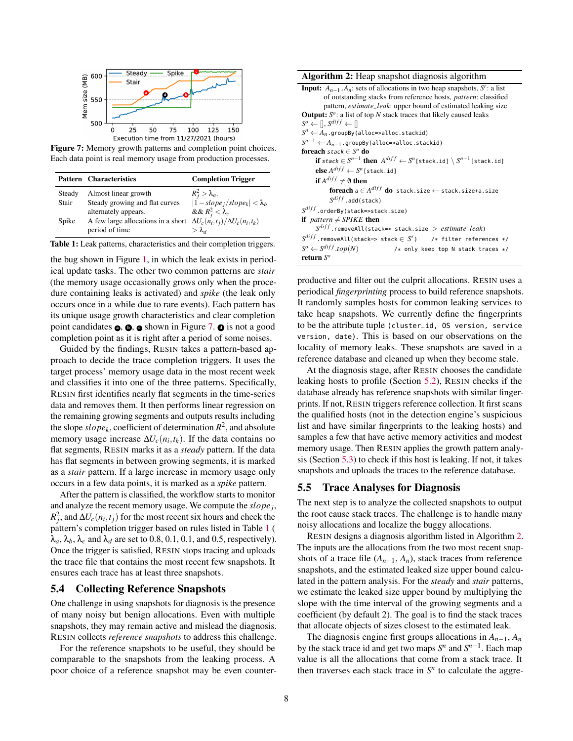<span id="page-7-0"></span>

Figure 7: Memory growth patterns and completion point choices. Each data point is real memory usage from production processes.

<span id="page-7-1"></span>

|        | <b>Pattern Characteristics</b>                                               | <b>Completion Trigger</b>           |
|--------|------------------------------------------------------------------------------|-------------------------------------|
| Steady | Almost linear growth                                                         | $R_j^2 > \lambda_a$ .               |
| Stair  | Steady growing and flat curves                                               | $ 1 - slope_j/slope_k  < \lambda_b$ |
|        | alternately appears.                                                         | && $R_i^2 < \lambda_c$              |
| Spike  | A few large allocations in a short $\Delta U_c(n_i,t_i)/\Delta U_c(n_i,t_k)$ |                                     |
|        | period of time                                                               | $>\lambda_d$                        |

Table 1: Leak patterns, characteristics and their completion triggers.

the bug shown in Figure [1,](#page-2-0) in which the leak exists in periodical update tasks. The other two common patterns are *stair* (the memory usage occasionally grows only when the procedure containing leaks is activated) and *spike* (the leak only occurs once in a while due to rare events). Each pattern has its unique usage growth characteristics and clear completion point candidates  $\phi$ ,  $\phi$  shown in Figure [7.](#page-7-0)  $\phi$  is not a good completion point as it is right after a period of some noises.

Guided by the findings, RESIN takes a pattern-based approach to decide the trace completion triggers. It uses the target process' memory usage data in the most recent week and classifies it into one of the three patterns. Specifically, RESIN first identifies nearly flat segments in the time-series data and removes them. It then performs linear regression on the remaining growing segments and outputs results including the slope  $slope_k$ , coefficient of determination  $R^2$ , and absolute memory usage increase  $\Delta U_c(n_i, t_k)$ . If the data contains no flat segments, RESIN marks it as a *steady* pattern. If the data has flat segments in between growing segments, it is marked as a *stair* pattern. If a large increase in memory usage only occurs in a few data points, it is marked as a *spike* pattern.

After the pattern is classified, the workflow starts to monitor and analyze the recent memory usage. We compute the *slope<sup>j</sup>* ,  $R_j^2$ , and  $\Delta U_c(n_i, t_j)$  for the most recent six hours and check the pattern's completion trigger based on rules listed in Table [1](#page-7-1) (  $\lambda_a$ ,  $\lambda_b$ ,  $\lambda_c$  and  $\lambda_d$  are set to 0.8, 0.1, 0.1, and 0.5, respectively). Once the trigger is satisfied, RESIN stops tracing and uploads the trace file that contains the most recent few snapshots. It ensures each trace has at least three snapshots.

### 5.4 Collecting Reference Snapshots

One challenge in using snapshots for diagnosis is the presence of many noisy but benign allocations. Even with multiple snapshots, they may remain active and mislead the diagnosis. RESIN collects *reference snapshots* to address this challenge.

For the reference snapshots to be useful, they should be comparable to the snapshots from the leaking process. A poor choice of a reference snapshot may be even counter-

| Algorithm 2: Heap snapshot diagnosis algorithm |  |  |
|------------------------------------------------|--|--|
|                                                |  |  |

**Input:**  $A_{n-1}$ ,  $A_n$ : sets of allocations in two heap snapshots,  $S^r$ : a list of outstanding stacks from reference hosts, *pattern*: classified pattern, *estimate*\_*leak*: upper bound of estimated leaking size **Output:**  $S^o$ : a list of top  $N$  stack traces that likely caused leaks  $S^o \leftarrow [$ ,  $S^{diff} \leftarrow$  $S^n \leftarrow A_n$ .groupBy(alloc=>alloc.stackid) *S <sup>n</sup>*−<sup>1</sup> ← *An*−1.groupBy(alloc=>alloc.stackid) foreach stack ∈ *S <sup>n</sup>* do  $\textbf{if } \textit{stack} \in S^{n-1} \textbf{ then } A^{diff} \leftarrow S^n \texttt{[stack.id]} \setminus S^{n-1} \texttt{[stack.id]}$  $\mathbf{else} \, A^{diff} \leftarrow S^n \left[ \, \texttt{stack.id} \right]$ if  $A^{diff} \neq \emptyset$  then  $\mathbf{for each}\; \pmb{a}\in A^{diff}\; \mathbf{do}\;$  stack.size  $\leftarrow$  stack.size+a.size  $S^{diff}$  .add(stack)  $\mathit{S}^{diff}$  .orderBy(stack=>stack.size) if  $pattern \neq SPIKE$  then *S di f f* .removeAll(stack=> stack.size > *estimate*\_*leak*)  $S^{diff}$ .removeAll(stack=> stack  $\in S^r$ ) /\* filter references \*/  $S^o \leftarrow S^{diff}$ .*top*(*N*) /\* only keep top N stack traces \*/ return *S o*

<span id="page-7-2"></span>productive and filter out the culprit allocations. RESIN uses a periodical *fingerprinting* process to build reference snapshots. It randomly samples hosts for common leaking services to take heap snapshots. We currently define the fingerprints to be the attribute tuple (cluster\_id, OS version, service version, date). This is based on our observations on the locality of memory leaks. These snapshots are saved in a reference database and cleaned up when they become stale.

At the diagnosis stage, after RESIN chooses the candidate leaking hosts to profile (Section [5.2\)](#page-6-3), RESIN checks if the database already has reference snapshots with similar fingerprints. If not, RESIN triggers reference collection. It first scans the qualified hosts (not in the detection engine's suspicious list and have similar fingerprints to the leaking hosts) and samples a few that have active memory activities and modest memory usage. Then RESIN applies the growth pattern analysis (Section [5.3\)](#page-6-2) to check if this host is leaking. If not, it takes snapshots and uploads the traces to the reference database.

#### 5.5 Trace Analyses for Diagnosis

The next step is to analyze the collected snapshots to output the root cause stack traces. The challenge is to handle many noisy allocations and localize the buggy allocations.

RESIN designs a diagnosis algorithm listed in Algorithm [2.](#page-7-2) The inputs are the allocations from the two most recent snapshots of a trace file  $(A_{n-1}, A_n)$ , stack traces from reference snapshots, and the estimated leaked size upper bound calculated in the pattern analysis. For the *steady* and *stair* patterns, we estimate the leaked size upper bound by multiplying the slope with the time interval of the growing segments and a coefficient (by default 2). The goal is to find the stack traces that allocate objects of sizes closest to the estimated leak.

The diagnosis engine first groups allocations in  $A_{n-1}$ ,  $A_n$ by the stack trace id and get two maps  $S^n$  and  $S^{n-1}$ . Each map value is all the allocations that come from a stack trace. It then traverses each stack trace in  $S<sup>n</sup>$  to calculate the aggre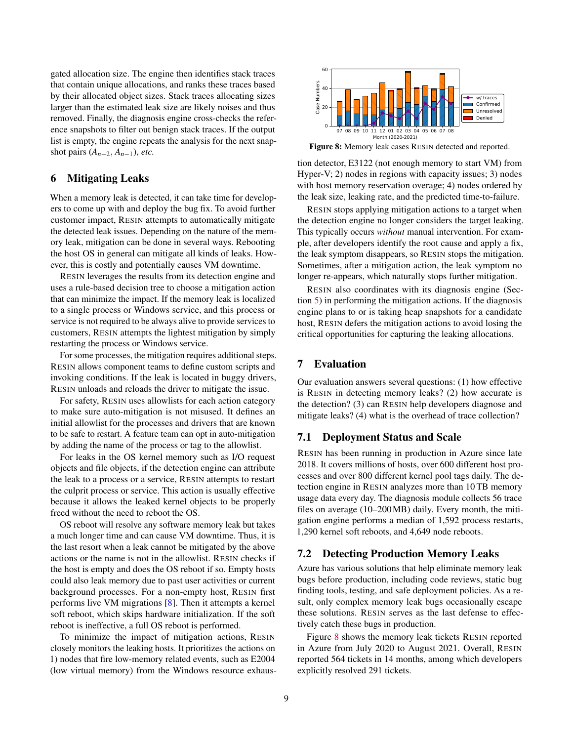gated allocation size. The engine then identifies stack traces that contain unique allocations, and ranks these traces based by their allocated object sizes. Stack traces allocating sizes larger than the estimated leak size are likely noises and thus removed. Finally, the diagnosis engine cross-checks the reference snapshots to filter out benign stack traces. If the output list is empty, the engine repeats the analysis for the next snapshot pairs  $(A_{n-2}, A_{n-1})$ , *etc.* 

#### 6 Mitigating Leaks

When a memory leak is detected, it can take time for developers to come up with and deploy the bug fix. To avoid further customer impact, RESIN attempts to automatically mitigate the detected leak issues. Depending on the nature of the memory leak, mitigation can be done in several ways. Rebooting the host OS in general can mitigate all kinds of leaks. However, this is costly and potentially causes VM downtime.

RESIN leverages the results from its detection engine and uses a rule-based decision tree to choose a mitigation action that can minimize the impact. If the memory leak is localized to a single process or Windows service, and this process or service is not required to be always alive to provide services to customers, RESIN attempts the lightest mitigation by simply restarting the process or Windows service.

For some processes, the mitigation requires additional steps. RESIN allows component teams to define custom scripts and invoking conditions. If the leak is located in buggy drivers, RESIN unloads and reloads the driver to mitigate the issue.

For safety, RESIN uses allowlists for each action category to make sure auto-mitigation is not misused. It defines an initial allowlist for the processes and drivers that are known to be safe to restart. A feature team can opt in auto-mitigation by adding the name of the process or tag to the allowlist.

For leaks in the OS kernel memory such as I/O request objects and file objects, if the detection engine can attribute the leak to a process or a service, RESIN attempts to restart the culprit process or service. This action is usually effective because it allows the leaked kernel objects to be properly freed without the need to reboot the OS.

OS reboot will resolve any software memory leak but takes a much longer time and can cause VM downtime. Thus, it is the last resort when a leak cannot be mitigated by the above actions or the name is not in the allowlist. RESIN checks if the host is empty and does the OS reboot if so. Empty hosts could also leak memory due to past user activities or current background processes. For a non-empty host, RESIN first performs live VM migrations [\[8\]](#page-14-17). Then it attempts a kernel soft reboot, which skips hardware initialization. If the soft reboot is ineffective, a full OS reboot is performed.

To minimize the impact of mitigation actions, RESIN closely monitors the leaking hosts. It prioritizes the actions on 1) nodes that fire low-memory related events, such as E2004 (low virtual memory) from the Windows resource exhaus-

<span id="page-8-0"></span>

Figure 8: Memory leak cases RESIN detected and reported.

tion detector, E3122 (not enough memory to start VM) from Hyper-V; 2) nodes in regions with capacity issues; 3) nodes with host memory reservation overage; 4) nodes ordered by the leak size, leaking rate, and the predicted time-to-failure.

RESIN stops applying mitigation actions to a target when the detection engine no longer considers the target leaking. This typically occurs *without* manual intervention. For example, after developers identify the root cause and apply a fix, the leak symptom disappears, so RESIN stops the mitigation. Sometimes, after a mitigation action, the leak symptom no longer re-appears, which naturally stops further mitigation.

RESIN also coordinates with its diagnosis engine (Section [5\)](#page-6-0) in performing the mitigation actions. If the diagnosis engine plans to or is taking heap snapshots for a candidate host, RESIN defers the mitigation actions to avoid losing the critical opportunities for capturing the leaking allocations.

#### 7 Evaluation

Our evaluation answers several questions: (1) how effective is RESIN in detecting memory leaks? (2) how accurate is the detection? (3) can RESIN help developers diagnose and mitigate leaks? (4) what is the overhead of trace collection?

#### 7.1 Deployment Status and Scale

RESIN has been running in production in Azure since late 2018. It covers millions of hosts, over 600 different host processes and over 800 different kernel pool tags daily. The detection engine in RESIN analyzes more than 10 TB memory usage data every day. The diagnosis module collects 56 trace files on average (10–200MB) daily. Every month, the mitigation engine performs a median of 1,592 process restarts, 1,290 kernel soft reboots, and 4,649 node reboots.

#### 7.2 Detecting Production Memory Leaks

Azure has various solutions that help eliminate memory leak bugs before production, including code reviews, static bug finding tools, testing, and safe deployment policies. As a result, only complex memory leak bugs occasionally escape these solutions. RESIN serves as the last defense to effectively catch these bugs in production.

Figure [8](#page-8-0) shows the memory leak tickets RESIN reported in Azure from July 2020 to August 2021. Overall, RESIN reported 564 tickets in 14 months, among which developers explicitly resolved 291 tickets.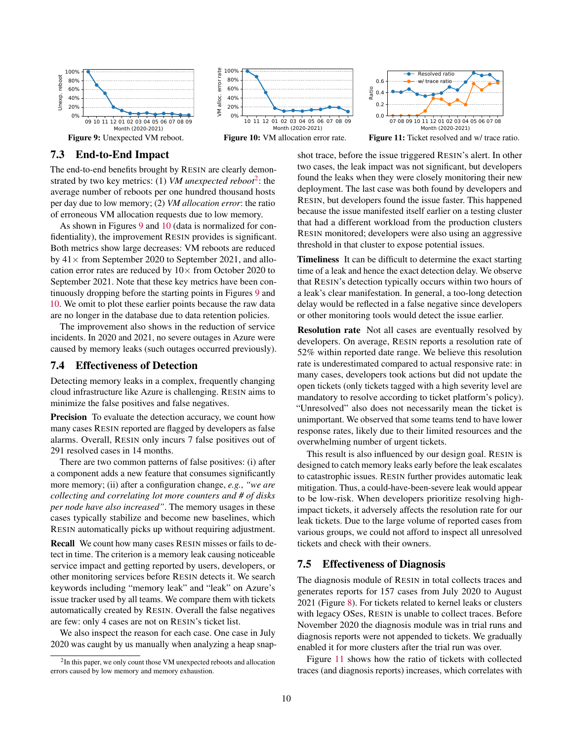<span id="page-9-1"></span>







Figure 11: Ticket resolved and w/ trace ratio.

## 7.3 End-to-End Impact

The end-to-end benefits brought by RESIN are clearly demonstrated by two key metrics: (1) *VM unexpected reboot*[2](#page-9-0) : the average number of reboots per one hundred thousand hosts per day due to low memory; (2) *VM allocation error*: the ratio of erroneous VM allocation requests due to low memory.

As shown in Figures [9](#page-9-1) and [10](#page-9-1) (data is normalized for confidentiality), the improvement RESIN provides is significant. Both metrics show large decreases: VM reboots are reduced by  $41 \times$  from September 2020 to September 2021, and allocation error rates are reduced by  $10\times$  from October 2020 to September 2021. Note that these key metrics have been continuously dropping before the starting points in Figures [9](#page-9-1) and [10.](#page-9-1) We omit to plot these earlier points because the raw data are no longer in the database due to data retention policies.

The improvement also shows in the reduction of service incidents. In 2020 and 2021, no severe outages in Azure were caused by memory leaks (such outages occurred previously).

## 7.4 Effectiveness of Detection

Detecting memory leaks in a complex, frequently changing cloud infrastructure like Azure is challenging. RESIN aims to minimize the false positives and false negatives.

Precision To evaluate the detection accuracy, we count how many cases RESIN reported are flagged by developers as false alarms. Overall, RESIN only incurs 7 false positives out of 291 resolved cases in 14 months.

There are two common patterns of false positives: (i) after a component adds a new feature that consumes significantly more memory; (ii) after a configuration change, *e.g.*, *"we are collecting and correlating lot more counters and # of disks per node have also increased"*. The memory usages in these cases typically stabilize and become new baselines, which RESIN automatically picks up without requiring adjustment.

Recall We count how many cases RESIN misses or fails to detect in time. The criterion is a memory leak causing noticeable service impact and getting reported by users, developers, or other monitoring services before RESIN detects it. We search keywords including "memory leak" and "leak" on Azure's issue tracker used by all teams. We compare them with tickets automatically created by RESIN. Overall the false negatives are few: only 4 cases are not on RESIN's ticket list.

We also inspect the reason for each case. One case in July 2020 was caught by us manually when analyzing a heap snapshot trace, before the issue triggered RESIN's alert. In other two cases, the leak impact was not significant, but developers found the leaks when they were closely monitoring their new deployment. The last case was both found by developers and RESIN, but developers found the issue faster. This happened because the issue manifested itself earlier on a testing cluster that had a different workload from the production clusters RESIN monitored; developers were also using an aggressive threshold in that cluster to expose potential issues.

Timeliness It can be difficult to determine the exact starting time of a leak and hence the exact detection delay. We observe that RESIN's detection typically occurs within two hours of a leak's clear manifestation. In general, a too-long detection delay would be reflected in a false negative since developers or other monitoring tools would detect the issue earlier.

Resolution rate Not all cases are eventually resolved by developers. On average, RESIN reports a resolution rate of 52% within reported date range. We believe this resolution rate is underestimated compared to actual responsive rate: in many cases, developers took actions but did not update the open tickets (only tickets tagged with a high severity level are mandatory to resolve according to ticket platform's policy). "Unresolved" also does not necessarily mean the ticket is unimportant. We observed that some teams tend to have lower response rates, likely due to their limited resources and the overwhelming number of urgent tickets.

This result is also influenced by our design goal. RESIN is designed to catch memory leaks early before the leak escalates to catastrophic issues. RESIN further provides automatic leak mitigation. Thus, a could-have-been-severe leak would appear to be low-risk. When developers prioritize resolving highimpact tickets, it adversely affects the resolution rate for our leak tickets. Due to the large volume of reported cases from various groups, we could not afford to inspect all unresolved tickets and check with their owners.

## 7.5 Effectiveness of Diagnosis

The diagnosis module of RESIN in total collects traces and generates reports for 157 cases from July 2020 to August 2021 (Figure [8\)](#page-8-0). For tickets related to kernel leaks or clusters with legacy OSes, RESIN is unable to collect traces. Before November 2020 the diagnosis module was in trial runs and diagnosis reports were not appended to tickets. We gradually enabled it for more clusters after the trial run was over.

Figure [11](#page-9-1) shows how the ratio of tickets with collected traces (and diagnosis reports) increases, which correlates with

<span id="page-9-0"></span><sup>&</sup>lt;sup>2</sup>In this paper, we only count those VM unexpected reboots and allocation errors caused by low memory and memory exhaustion.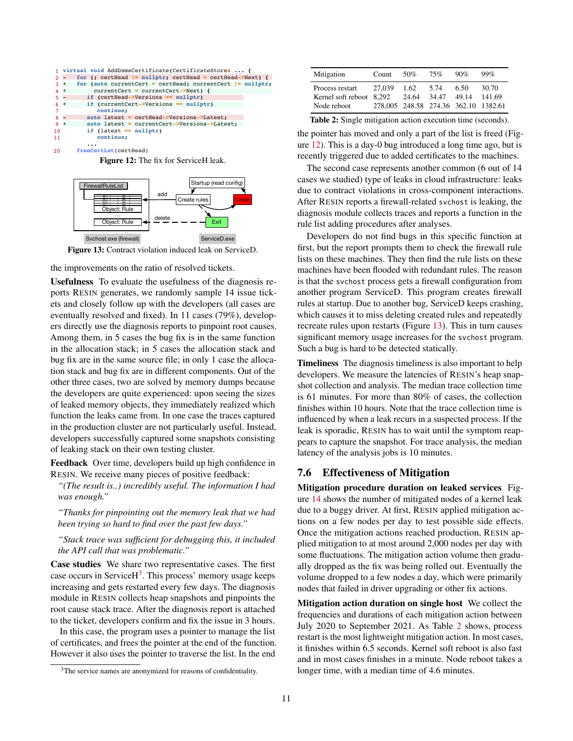<span id="page-10-1"></span>

|       |        | 1 virtual void AddDsmsCertificate(CertificateStore&  {    |
|-------|--------|-----------------------------------------------------------|
| $2 -$ |        | for (; certHead != nullptr; certHead = certHead->Next) {  |
| $3 +$ |        | for (auto currentCert = certHead; currentCert != nullptr; |
| $4 +$ |        | currentCert = currentCert->Next) {                        |
| $5 -$ |        | if (certHead->Versions == nullptr)                        |
| 6.    | $^{+}$ | if (currentCert->Versions == nullptr)                     |
| 7     |        | continue;                                                 |
| $8 -$ |        | auto latest = certHead->Versions->Latest;                 |
| $9 +$ |        | auto latest = currentCert->Versions->Latest;              |
| 10    |        | if $(latest == nullptr)$                                  |
| 11    |        | continue;                                                 |
|       |        |                                                           |
| 20    |        | freeCertLst(certHead)                                     |

Figure 12: The fix for ServiceH leak.

<span id="page-10-2"></span>

Figure 13: Contract violation induced leak on ServiceD.

the improvements on the ratio of resolved tickets.

Usefulness To evaluate the usefulness of the diagnosis reports RESIN generates, we randomly sample 14 issue tickets and closely follow up with the developers (all cases are eventually resolved and fixed). In 11 cases (79%), developers directly use the diagnosis reports to pinpoint root causes. Among them, in 5 cases the bug fix is in the same function in the allocation stack; in 5 cases the allocation stack and bug fix are in the same source file; in only 1 case the allocation stack and bug fix are in different components. Out of the other three cases, two are solved by memory dumps because the developers are quite experienced: upon seeing the sizes of leaked memory objects, they immediately realized which function the leaks came from. In one case the traces captured in the production cluster are not particularly useful. Instead, developers successfully captured some snapshots consisting of leaking stack on their own testing cluster.

Feedback Over time, developers build up high confidence in RESIN. We receive many pieces of positive feedback:

*"(The result is..) incredibly useful. The information I had was enough."*

*"Thanks for pinpointing out the memory leak that we had been trying so hard to find over the past few days."*

*"Stack trace was sufficient for debugging this, it included the API call that was problematic."*

Case studies We share two representative cases. The first case occurs in ServiceH<sup>[3](#page-10-0)</sup>. This process' memory usage keeps increasing and gets restarted every few days. The diagnosis module in RESIN collects heap snapshots and pinpoints the root cause stack trace. After the diagnosis report is attached to the ticket, developers confirm and fix the issue in 3 hours.

In this case, the program uses a pointer to manage the list of certificates, and frees the pointer at the end of the function. However it also uses the pointer to traverse the list. In the end

<span id="page-10-3"></span>

| Mitigation                                                 | Count                                          | 50%           | 75%           | 90%           | 99%             |
|------------------------------------------------------------|------------------------------------------------|---------------|---------------|---------------|-----------------|
| Process restart<br>Kernel soft reboot 8.292<br>Node reboot | 27,039<br>278,005 248.58 274.36 362.10 1382.61 | 1.62<br>24.64 | 5.74<br>34.47 | 6.50<br>49.14 | 30.70<br>141.69 |

Table 2: Single mitigation action execution time (seconds).

the pointer has moved and only a part of the list is freed (Figure [12\)](#page-10-1). This is a day-0 bug introduced a long time ago, but is recently triggered due to added certificates to the machines.

The second case represents another common (6 out of 14 cases we studied) type of leaks in cloud infrastructure: leaks due to contract violations in cross-component interactions. After RESIN reports a firewall-related svchost is leaking, the diagnosis module collects traces and reports a function in the rule list adding procedures after analyses.

Developers do not find bugs in this specific function at first, but the report prompts them to check the firewall rule lists on these machines. They then find the rule lists on these machines have been flooded with redundant rules. The reason is that the svchost process gets a firewall configuration from another program ServiceD. This program creates firewall rules at startup. Due to another bug, ServiceD keeps crashing, which causes it to miss deleting created rules and repeatedly recreate rules upon restarts (Figure [13\)](#page-10-2). This in turn causes significant memory usage increases for the svchost program. Such a bug is hard to be detected statically.

Timeliness The diagnosis timeliness is also important to help developers. We measure the latencies of RESIN's heap snapshot collection and analysis. The median trace collection time is 61 minutes. For more than 80% of cases, the collection finishes within 10 hours. Note that the trace collection time is influenced by when a leak recurs in a suspected process. If the leak is sporadic, RESIN has to wait until the symptom reappears to capture the snapshot. For trace analysis, the median latency of the analysis jobs is 10 minutes.

### 7.6 Effectiveness of Mitigation

Mitigation procedure duration on leaked services Figure [14](#page-11-0) shows the number of mitigated nodes of a kernel leak due to a buggy driver. At first, RESIN applied mitigation actions on a few nodes per day to test possible side effects. Once the mitigation actions reached production, RESIN applied mitigation to at most around 2,000 nodes per day with some fluctuations. The mitigation action volume then gradually dropped as the fix was being rolled out. Eventually the volume dropped to a few nodes a day, which were primarily nodes that failed in driver upgrading or other fix actions.

Mitigation action duration on single host We collect the frequencies and durations of each mitigation action between July 2020 to September 2021. As Table [2](#page-10-3) shows, process restart is the most lightweight mitigation action. In most cases, it finishes within 6.5 seconds. Kernel soft reboot is also fast and in most cases finishes in a minute. Node reboot takes a longer time, with a median time of 4.6 minutes.

<span id="page-10-0"></span><sup>&</sup>lt;sup>3</sup>The service names are anonymized for reasons of confidentiality.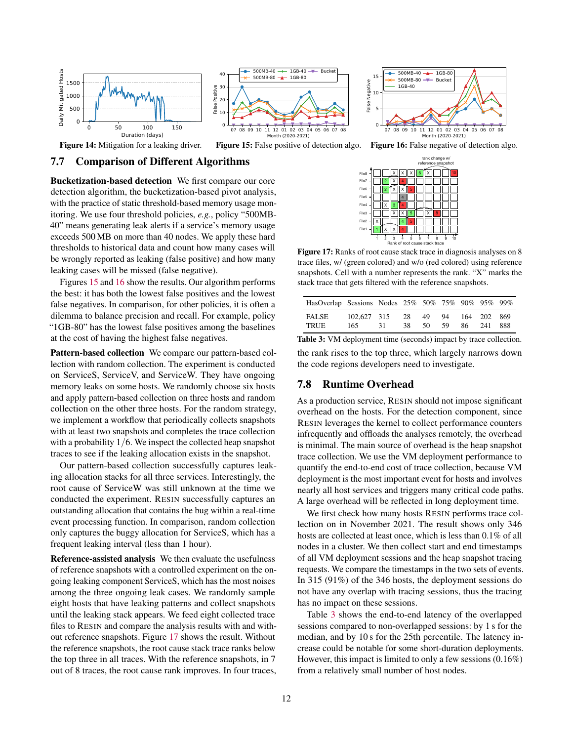<span id="page-11-0"></span>



Figure 15: False positive of detection algo.

## 7.7 Comparison of Different Algorithms

Bucketization-based detection We first compare our core detection algorithm, the bucketization-based pivot analysis, with the practice of static threshold-based memory usage monitoring. We use four threshold policies, *e.g.*, policy "500MB-40" means generating leak alerts if a service's memory usage exceeds 500 MB on more than 40 nodes. We apply these hard thresholds to historical data and count how many cases will be wrongly reported as leaking (false positive) and how many leaking cases will be missed (false negative).

Figures [15](#page-11-0) and [16](#page-11-0) show the results. Our algorithm performs the best: it has both the lowest false positives and the lowest false negatives. In comparison, for other policies, it is often a dilemma to balance precision and recall. For example, policy "1GB-80" has the lowest false positives among the baselines at the cost of having the highest false negatives.

Pattern-based collection We compare our pattern-based collection with random collection. The experiment is conducted on ServiceS, ServiceV, and ServiceW. They have ongoing memory leaks on some hosts. We randomly choose six hosts and apply pattern-based collection on three hosts and random collection on the other three hosts. For the random strategy, we implement a workflow that periodically collects snapshots with at least two snapshots and completes the trace collection with a probability 1/6. We inspect the collected heap snapshot traces to see if the leaking allocation exists in the snapshot.

Our pattern-based collection successfully captures leaking allocation stacks for all three services. Interestingly, the root cause of ServiceW was still unknown at the time we conducted the experiment. RESIN successfully captures an outstanding allocation that contains the bug within a real-time event processing function. In comparison, random collection only captures the buggy allocation for ServiceS, which has a frequent leaking interval (less than 1 hour).

Reference-assisted analysis We then evaluate the usefulness of reference snapshots with a controlled experiment on the ongoing leaking component ServiceS, which has the most noises among the three ongoing leak cases. We randomly sample eight hosts that have leaking patterns and collect snapshots until the leaking stack appears. We feed eight collected trace files to RESIN and compare the analysis results with and without reference snapshots. Figure [17](#page-11-1) shows the result. Without the reference snapshots, the root cause stack trace ranks below the top three in all traces. With the reference snapshots, in 7 out of 8 traces, the root cause rank improves. In four traces,



Figure 16: False negative of detection algo.

<span id="page-11-1"></span>

Figure 17: Ranks of root cause stack trace in diagnosis analyses on 8 trace files, w/ (green colored) and w/o (red colored) using reference snapshots. Cell with a number represents the rank. "X" marks the stack trace that gets filtered with the reference snapshots.

<span id="page-11-2"></span>

| HasOverlap Sessions Nodes 25% 50% 75% 90% 95% 99% |                    |      |              |    |    |                              |  |
|---------------------------------------------------|--------------------|------|--------------|----|----|------------------------------|--|
| FALSE<br>TRUE                                     | 102.627 315<br>165 | -31- | 28 49<br>38. | 50 | 59 | 94 164 202 869<br>86 241 888 |  |

Table 3: VM deployment time (seconds) impact by trace collection. the rank rises to the top three, which largely narrows down the code regions developers need to investigate.

#### 7.8 Runtime Overhead

As a production service, RESIN should not impose significant overhead on the hosts. For the detection component, since RESIN leverages the kernel to collect performance counters infrequently and offloads the analyses remotely, the overhead is minimal. The main source of overhead is the heap snapshot trace collection. We use the VM deployment performance to quantify the end-to-end cost of trace collection, because VM deployment is the most important event for hosts and involves nearly all host services and triggers many critical code paths. A large overhead will be reflected in long deployment time.

We first check how many hosts RESIN performs trace collection on in November 2021. The result shows only 346 hosts are collected at least once, which is less than 0.1% of all nodes in a cluster. We then collect start and end timestamps of all VM deployment sessions and the heap snapshot tracing requests. We compare the timestamps in the two sets of events. In 315 (91%) of the 346 hosts, the deployment sessions do not have any overlap with tracing sessions, thus the tracing has no impact on these sessions.

Table [3](#page-11-2) shows the end-to-end latency of the overlapped sessions compared to non-overlapped sessions: by 1 s for the median, and by 10 s for the 25th percentile. The latency increase could be notable for some short-duration deployments. However, this impact is limited to only a few sessions (0.16%) from a relatively small number of host nodes.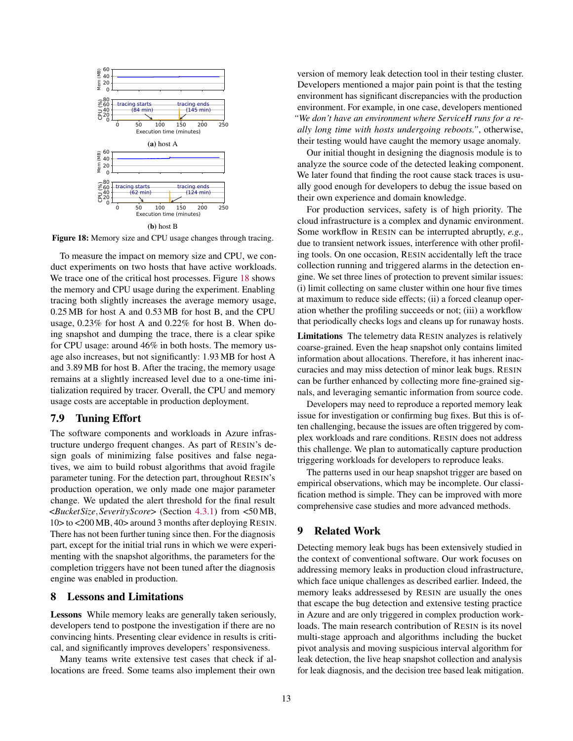<span id="page-12-0"></span>

(b) host B

Figure 18: Memory size and CPU usage changes through tracing.

To measure the impact on memory size and CPU, we conduct experiments on two hosts that have active workloads. We trace one of the critical host processes. Figure [18](#page-12-0) shows the memory and CPU usage during the experiment. Enabling tracing both slightly increases the average memory usage, 0.25 MB for host A and 0.53 MB for host B, and the CPU usage, 0.23% for host A and 0.22% for host B. When doing snapshot and dumping the trace, there is a clear spike for CPU usage: around 46% in both hosts. The memory usage also increases, but not significantly: 1.93 MB for host A and 3.89 MB for host B. After the tracing, the memory usage remains at a slightly increased level due to a one-time initialization required by tracer. Overall, the CPU and memory usage costs are acceptable in production deployment.

#### 7.9 Tuning Effort

The software components and workloads in Azure infrastructure undergo frequent changes. As part of RESIN's design goals of minimizing false positives and false negatives, we aim to build robust algorithms that avoid fragile parameter tuning. For the detection part, throughout RESIN's production operation, we only made one major parameter change. We updated the alert threshold for the final result <*BucketSize*,*SeverityScore*> (Section [4.3.1\)](#page-4-2) from <50 MB, 10> to <200 MB, 40> around 3 months after deploying RESIN. There has not been further tuning since then. For the diagnosis part, except for the initial trial runs in which we were experimenting with the snapshot algorithms, the parameters for the completion triggers have not been tuned after the diagnosis engine was enabled in production.

#### 8 Lessons and Limitations

Lessons While memory leaks are generally taken seriously, developers tend to postpone the investigation if there are no convincing hints. Presenting clear evidence in results is critical, and significantly improves developers' responsiveness.

Many teams write extensive test cases that check if allocations are freed. Some teams also implement their own

version of memory leak detection tool in their testing cluster. Developers mentioned a major pain point is that the testing environment has significant discrepancies with the production environment. For example, in one case, developers mentioned *"We don't have an environment where ServiceH runs for a really long time with hosts undergoing reboots."*, otherwise, their testing would have caught the memory usage anomaly.

Our initial thought in designing the diagnosis module is to analyze the source code of the detected leaking component. We later found that finding the root cause stack traces is usually good enough for developers to debug the issue based on their own experience and domain knowledge.

For production services, safety is of high priority. The cloud infrastructure is a complex and dynamic environment. Some workflow in RESIN can be interrupted abruptly, *e.g.,* due to transient network issues, interference with other profiling tools. On one occasion, RESIN accidentally left the trace collection running and triggered alarms in the detection engine. We set three lines of protection to prevent similar issues: (i) limit collecting on same cluster within one hour five times at maximum to reduce side effects; (ii) a forced cleanup operation whether the profiling succeeds or not; (iii) a workflow that periodically checks logs and cleans up for runaway hosts.

Limitations The telemetry data RESIN analyzes is relatively coarse-grained. Even the heap snapshot only contains limited information about allocations. Therefore, it has inherent inaccuracies and may miss detection of minor leak bugs. RESIN can be further enhanced by collecting more fine-grained signals, and leveraging semantic information from source code.

Developers may need to reproduce a reported memory leak issue for investigation or confirming bug fixes. But this is often challenging, because the issues are often triggered by complex workloads and rare conditions. RESIN does not address this challenge. We plan to automatically capture production triggering workloads for developers to reproduce leaks.

The patterns used in our heap snapshot trigger are based on empirical observations, which may be incomplete. Our classification method is simple. They can be improved with more comprehensive case studies and more advanced methods.

#### 9 Related Work

Detecting memory leak bugs has been extensively studied in the context of conventional software. Our work focuses on addressing memory leaks in production cloud infrastructure, which face unique challenges as described earlier. Indeed, the memory leaks addressesed by RESIN are usually the ones that escape the bug detection and extensive testing practice in Azure and are only triggered in complex production workloads. The main research contribution of RESIN is its novel multi-stage approach and algorithms including the bucket pivot analysis and moving suspicious interval algorithm for leak detection, the live heap snapshot collection and analysis for leak diagnosis, and the decision tree based leak mitigation.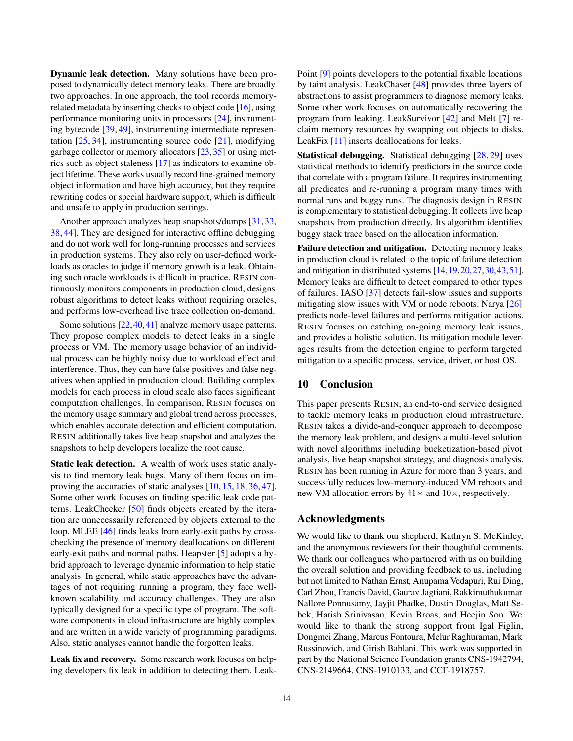Dynamic leak detection. Many solutions have been proposed to dynamically detect memory leaks. There are broadly two approaches. In one approach, the tool records memoryrelated metadata by inserting checks to object code [\[16\]](#page-14-5), using performance monitoring units in processors [\[24\]](#page-14-8), instrumenting bytecode [\[39,](#page-15-3) [49\]](#page-16-0), instrumenting intermediate representation  $[25, 34]$  $[25, 34]$  $[25, 34]$ , instrumenting source code  $[21]$ , modifying garbage collector or memory allocators [\[23,](#page-14-18) [35\]](#page-15-9) or using metrics such as object staleness [\[17\]](#page-14-12) as indicators to examine object lifetime. These works usually record fine-grained memory object information and have high accuracy, but they require rewriting codes or special hardware support, which is difficult and unsafe to apply in production settings.

Another approach analyzes heap snapshots/dumps [\[31,](#page-15-10) [33,](#page-15-11) [38,](#page-15-12) [44\]](#page-15-13). They are designed for interactive offline debugging and do not work well for long-running processes and services in production systems. They also rely on user-defined workloads as oracles to judge if memory growth is a leak. Obtaining such oracle workloads is difficult in practice. RESIN continuously monitors components in production cloud, designs robust algorithms to detect leaks without requiring oracles, and performs low-overhead live trace collection on-demand.

Some solutions [\[22,](#page-14-19) [40,](#page-15-5) [41\]](#page-15-6) analyze memory usage patterns. They propose complex models to detect leaks in a single process or VM. The memory usage behavior of an individual process can be highly noisy due to workload effect and interference. Thus, they can have false positives and false negatives when applied in production cloud. Building complex models for each process in cloud scale also faces significant computation challenges. In comparison, RESIN focuses on the memory usage summary and global trend across processes, which enables accurate detection and efficient computation. RESIN additionally takes live heap snapshot and analyzes the snapshots to help developers localize the root cause.

Static leak detection. A wealth of work uses static analysis to find memory leak bugs. Many of them focus on improving the accuracies of static analyses [\[10,](#page-14-2) [15,](#page-14-3) [18,](#page-14-4) [36,](#page-15-1) [47\]](#page-15-2). Some other work focuses on finding specific leak code patterns. LeakChecker [\[50\]](#page-16-1) finds objects created by the iteration are unnecessarily referenced by objects external to the loop. MLEE [\[46\]](#page-15-0) finds leaks from early-exit paths by crosschecking the presence of memory deallocations on different early-exit paths and normal paths. Heapster [\[5\]](#page-14-20) adopts a hybrid approach to leverage dynamic information to help static analysis. In general, while static approaches have the advantages of not requiring running a program, they face wellknown scalability and accuracy challenges. They are also typically designed for a specific type of program. The software components in cloud infrastructure are highly complex and are written in a wide variety of programming paradigms. Also, static analyses cannot handle the forgotten leaks.

Leak fix and recovery. Some research work focuses on helping developers fix leak in addition to detecting them. Leak-

Point [\[9\]](#page-14-21) points developers to the potential fixable locations by taint analysis. LeakChaser [\[48\]](#page-15-14) provides three layers of abstractions to assist programmers to diagnose memory leaks. Some other work focuses on automatically recovering the program from leaking. LeakSurvivor [\[42\]](#page-15-15) and Melt [\[7\]](#page-14-22) reclaim memory resources by swapping out objects to disks. LeakFix [\[11\]](#page-14-23) inserts deallocations for leaks.

Statistical debugging. Statistical debugging [\[28,](#page-15-16) [29\]](#page-15-17) uses statistical methods to identify predictors in the source code that correlate with a program failure. It requires instrumenting all predicates and re-running a program many times with normal runs and buggy runs. The diagnosis design in RESIN is complementary to statistical debugging. It collects live heap snapshots from production directly. Its algorithm identifies buggy stack trace based on the allocation information.

Failure detection and mitigation. Detecting memory leaks in production cloud is related to the topic of failure detection and mitigation in distributed systems [\[14,](#page-14-15)[19,](#page-14-24)[20,](#page-14-1)[27,](#page-15-18)[30,](#page-15-19)[43,](#page-15-20)[51\]](#page-16-2). Memory leaks are difficult to detect compared to other types of failures. IASO [\[37\]](#page-15-21) detects fail-slow issues and supports mitigating slow issues with VM or node reboots. Narya [\[26\]](#page-15-22) predicts node-level failures and performs mitigation actions. RESIN focuses on catching on-going memory leak issues, and provides a holistic solution. Its mitigation module leverages results from the detection engine to perform targeted mitigation to a specific process, service, driver, or host OS.

#### 10 Conclusion

This paper presents RESIN, an end-to-end service designed to tackle memory leaks in production cloud infrastructure. RESIN takes a divide-and-conquer approach to decompose the memory leak problem, and designs a multi-level solution with novel algorithms including bucketization-based pivot analysis, live heap snapshot strategy, and diagnosis analysis. RESIN has been running in Azure for more than 3 years, and successfully reduces low-memory-induced VM reboots and new VM allocation errors by  $41 \times$  and  $10 \times$ , respectively.

## Acknowledgments

We would like to thank our shepherd, Kathryn S. McKinley, and the anonymous reviewers for their thoughtful comments. We thank our colleagues who partnered with us on building the overall solution and providing feedback to us, including but not limited to Nathan Ernst, Anupama Vedapuri, Rui Ding, Carl Zhou, Francis David, Gaurav Jagtiani, Rakkimuthukumar Nallore Ponnusamy, Jayjit Phadke, Dustin Douglas, Matt Sebek, Harish Srinivasan, Kevin Broas, and Heejin Son. We would like to thank the strong support from Igal Figlin, Dongmei Zhang, Marcus Fontoura, Melur Raghuraman, Mark Russinovich, and Girish Bablani. This work was supported in part by the National Science Foundation grants CNS-1942794, CNS-2149664, CNS-1910133, and CCF-1918757.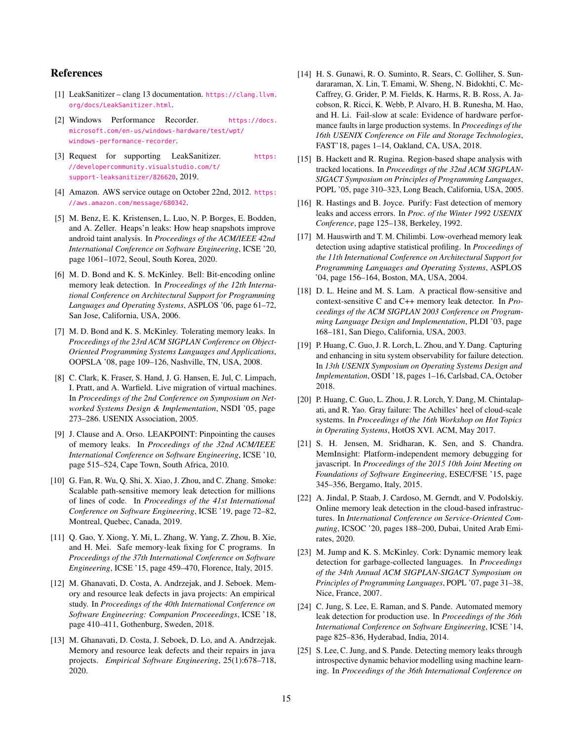## References

- <span id="page-14-13"></span>[1] LeakSanitizer – clang 13 documentation. [https://clang.llvm.](https://clang.llvm.org/docs/LeakSanitizer.html) [org/docs/LeakSanitizer.html](https://clang.llvm.org/docs/LeakSanitizer.html).
- <span id="page-14-16"></span>[2] Windows Performance Recorder. [https://docs.](https://docs.microsoft.com/en-us/windows-hardware/test/wpt/windows-performance-recorder) [microsoft.com/en-us/windows-hardware/test/wpt/](https://docs.microsoft.com/en-us/windows-hardware/test/wpt/windows-performance-recorder) [windows-performance-recorder](https://docs.microsoft.com/en-us/windows-hardware/test/wpt/windows-performance-recorder).
- <span id="page-14-14"></span>[3] Request for supporting LeakSanitizer. [https:](https://developercommunity.visualstudio.com/t/support-leaksanitizer/826620) [//developercommunity.visualstudio.com/t/](https://developercommunity.visualstudio.com/t/support-leaksanitizer/826620) [support-leaksanitizer/826620](https://developercommunity.visualstudio.com/t/support-leaksanitizer/826620), 2019.
- <span id="page-14-10"></span>[4] Amazon. AWS service outage on October 22nd, 2012. [https:](https://aws.amazon.com/message/680342) [//aws.amazon.com/message/680342](https://aws.amazon.com/message/680342).
- <span id="page-14-20"></span>[5] M. Benz, E. K. Kristensen, L. Luo, N. P. Borges, E. Bodden, and A. Zeller. Heaps'n leaks: How heap snapshots improve android taint analysis. In *Proceedings of the ACM/IEEE 42nd International Conference on Software Engineering*, ICSE '20, page 1061–1072, Seoul, South Korea, 2020.
- <span id="page-14-9"></span>[6] M. D. Bond and K. S. McKinley. Bell: Bit-encoding online memory leak detection. In *Proceedings of the 12th International Conference on Architectural Support for Programming Languages and Operating Systems*, ASPLOS '06, page 61–72, San Jose, California, USA, 2006.
- <span id="page-14-22"></span>[7] M. D. Bond and K. S. McKinley. Tolerating memory leaks. In *Proceedings of the 23rd ACM SIGPLAN Conference on Object-Oriented Programming Systems Languages and Applications*, OOPSLA '08, page 109–126, Nashville, TN, USA, 2008.
- <span id="page-14-17"></span>[8] C. Clark, K. Fraser, S. Hand, J. G. Hansen, E. Jul, C. Limpach, I. Pratt, and A. Warfield. Live migration of virtual machines. In *Proceedings of the 2nd Conference on Symposium on Networked Systems Design & Implementation*, NSDI '05, page 273–286. USENIX Association, 2005.
- <span id="page-14-21"></span>[9] J. Clause and A. Orso. LEAKPOINT: Pinpointing the causes of memory leaks. In *Proceedings of the 32nd ACM/IEEE International Conference on Software Engineering*, ICSE '10, page 515–524, Cape Town, South Africa, 2010.
- <span id="page-14-2"></span>[10] G. Fan, R. Wu, Q. Shi, X. Xiao, J. Zhou, and C. Zhang. Smoke: Scalable path-sensitive memory leak detection for millions of lines of code. In *Proceedings of the 41st International Conference on Software Engineering*, ICSE '19, page 72–82, Montreal, Quebec, Canada, 2019.
- <span id="page-14-23"></span>[11] Q. Gao, Y. Xiong, Y. Mi, L. Zhang, W. Yang, Z. Zhou, B. Xie, and H. Mei. Safe memory-leak fixing for C programs. In *Proceedings of the 37th International Conference on Software Engineering*, ICSE '15, page 459–470, Florence, Italy, 2015.
- <span id="page-14-11"></span>[12] M. Ghanavati, D. Costa, A. Andrzejak, and J. Seboek. Memory and resource leak defects in java projects: An empirical study. In *Proceedings of the 40th International Conference on Software Engineering: Companion Proceeedings*, ICSE '18, page 410–411, Gothenburg, Sweden, 2018.
- <span id="page-14-0"></span>[13] M. Ghanavati, D. Costa, J. Seboek, D. Lo, and A. Andrzejak. Memory and resource leak defects and their repairs in java projects. *Empirical Software Engineering*, 25(1):678–718, 2020.
- <span id="page-14-15"></span>[14] H. S. Gunawi, R. O. Suminto, R. Sears, C. Golliher, S. Sundararaman, X. Lin, T. Emami, W. Sheng, N. Bidokhti, C. Mc-Caffrey, G. Grider, P. M. Fields, K. Harms, R. B. Ross, A. Jacobson, R. Ricci, K. Webb, P. Alvaro, H. B. Runesha, M. Hao, and H. Li. Fail-slow at scale: Evidence of hardware performance faults in large production systems. In *Proceedings of the 16th USENIX Conference on File and Storage Technologies*, FAST'18, pages 1–14, Oakland, CA, USA, 2018.
- <span id="page-14-3"></span>[15] B. Hackett and R. Rugina. Region-based shape analysis with tracked locations. In *Proceedings of the 32nd ACM SIGPLAN-SIGACT Symposium on Principles of Programming Languages*, POPL '05, page 310–323, Long Beach, California, USA, 2005.
- <span id="page-14-5"></span>[16] R. Hastings and B. Joyce. Purify: Fast detection of memory leaks and access errors. In *Proc. of the Winter 1992 USENIX Conference*, page 125–138, Berkeley, 1992.
- <span id="page-14-12"></span>[17] M. Hauswirth and T. M. Chilimbi. Low-overhead memory leak detection using adaptive statistical profiling. In *Proceedings of the 11th International Conference on Architectural Support for Programming Languages and Operating Systems*, ASPLOS '04, page 156–164, Boston, MA, USA, 2004.
- <span id="page-14-4"></span>[18] D. L. Heine and M. S. Lam. A practical flow-sensitive and context-sensitive C and C++ memory leak detector. In *Proceedings of the ACM SIGPLAN 2003 Conference on Programming Language Design and Implementation*, PLDI '03, page 168–181, San Diego, California, USA, 2003.
- <span id="page-14-24"></span>[19] P. Huang, C. Guo, J. R. Lorch, L. Zhou, and Y. Dang. Capturing and enhancing in situ system observability for failure detection. In *13th USENIX Symposium on Operating Systems Design and Implementation*, OSDI '18, pages 1–16, Carlsbad, CA, October 2018.
- <span id="page-14-1"></span>[20] P. Huang, C. Guo, L. Zhou, J. R. Lorch, Y. Dang, M. Chintalapati, and R. Yao. Gray failure: The Achilles' heel of cloud-scale systems. In *Proceedings of the 16th Workshop on Hot Topics in Operating Systems*, HotOS XVI. ACM, May 2017.
- <span id="page-14-6"></span>[21] S. H. Jensen, M. Sridharan, K. Sen, and S. Chandra. MemInsight: Platform-independent memory debugging for javascript. In *Proceedings of the 2015 10th Joint Meeting on Foundations of Software Engineering*, ESEC/FSE '15, page 345–356, Bergamo, Italy, 2015.
- <span id="page-14-19"></span>[22] A. Jindal, P. Staab, J. Cardoso, M. Gerndt, and V. Podolskiy. Online memory leak detection in the cloud-based infrastructures. In *International Conference on Service-Oriented Computing*, ICSOC '20, pages 188–200, Dubai, United Arab Emirates, 2020.
- <span id="page-14-18"></span>[23] M. Jump and K. S. McKinley. Cork: Dynamic memory leak detection for garbage-collected languages. In *Proceedings of the 34th Annual ACM SIGPLAN-SIGACT Symposium on Principles of Programming Languages*, POPL '07, page 31–38, Nice, France, 2007.
- <span id="page-14-8"></span>[24] C. Jung, S. Lee, E. Raman, and S. Pande. Automated memory leak detection for production use. In *Proceedings of the 36th International Conference on Software Engineering*, ICSE '14, page 825–836, Hyderabad, India, 2014.
- <span id="page-14-7"></span>[25] S. Lee, C. Jung, and S. Pande. Detecting memory leaks through introspective dynamic behavior modelling using machine learning. In *Proceedings of the 36th International Conference on*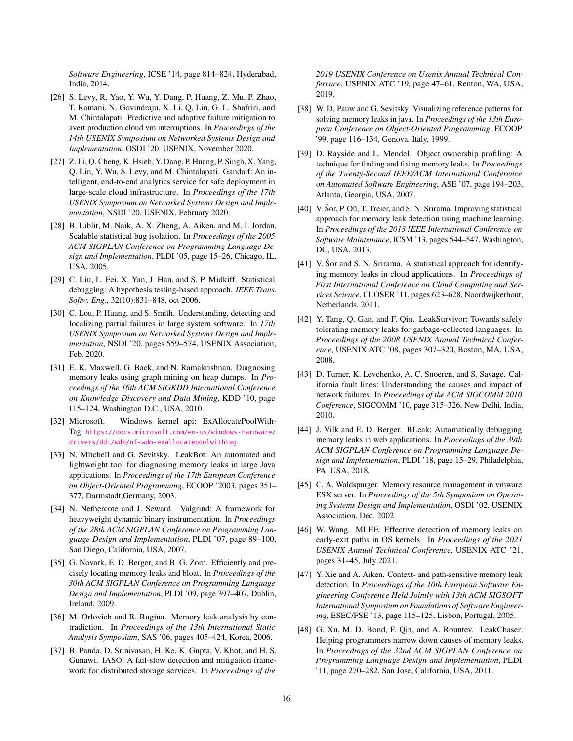*Software Engineering*, ICSE '14, page 814–824, Hyderabad, India, 2014.

- <span id="page-15-22"></span>[26] S. Levy, R. Yao, Y. Wu, Y. Dang, P. Huang, Z. Mu, P. Zhao, T. Ramani, N. Govindraju, X. Li, Q. Lin, G. L. Shafriri, and M. Chintalapati. Predictive and adaptive failure mitigation to avert production cloud vm interruptions. In *Proceedings of the 14th USENIX Symposium on Networked Systems Design and Implementation*, OSDI '20. USENIX, November 2020.
- <span id="page-15-18"></span>[27] Z. Li, Q. Cheng, K. Hsieh, Y. Dang, P. Huang, P. Singh, X. Yang, Q. Lin, Y. Wu, S. Levy, and M. Chintalapati. Gandalf: An intelligent, end-to-end analytics service for safe deployment in large-scale cloud infrastructure. In *Proceedings of the 17th USENIX Symposium on Networked Systems Design and Implementation*, NSDI '20. USENIX, February 2020.
- <span id="page-15-16"></span>[28] B. Liblit, M. Naik, A. X. Zheng, A. Aiken, and M. I. Jordan. Scalable statistical bug isolation. In *Proceedings of the 2005 ACM SIGPLAN Conference on Programming Language Design and Implementation*, PLDI '05, page 15–26, Chicago, IL, USA, 2005.
- <span id="page-15-17"></span>[29] C. Liu, L. Fei, X. Yan, J. Han, and S. P. Midkiff. Statistical debugging: A hypothesis testing-based approach. *IEEE Trans. Softw. Eng.*, 32(10):831–848, oct 2006.
- <span id="page-15-19"></span>[30] C. Lou, P. Huang, and S. Smith. Understanding, detecting and localizing partial failures in large system software. In *17th USENIX Symposium on Networked Systems Design and Implementation*, NSDI '20, pages 559–574. USENIX Association, Feb. 2020.
- <span id="page-15-10"></span>[31] E. K. Maxwell, G. Back, and N. Ramakrishnan. Diagnosing memory leaks using graph mining on heap dumps. In *Proceedings of the 16th ACM SIGKDD International Conference on Knowledge Discovery and Data Mining*, KDD '10, page 115–124, Washington D.C., USA, 2010.
- <span id="page-15-7"></span>[32] Microsoft. Windows kernel api: ExAllocatePoolWith-Tag. [https://docs.microsoft.com/en-us/windows-hardware/](https://docs.microsoft.com/en-us/windows-hardware/drivers/ddi/wdm/nf-wdm-exallocatepoolwithtag) [drivers/ddi/wdm/nf-wdm-exallocatepoolwithtag](https://docs.microsoft.com/en-us/windows-hardware/drivers/ddi/wdm/nf-wdm-exallocatepoolwithtag).
- <span id="page-15-11"></span>[33] N. Mitchell and G. Sevitsky. LeakBot: An automated and lightweight tool for diagnosing memory leaks in large Java applications. In *Proceedings of the 17th European Conference on Object-Oriented Programming*, ECOOP '2003, pages 351– 377, Darmstadt,Germany, 2003.
- <span id="page-15-8"></span>[34] N. Nethercote and J. Seward. Valgrind: A framework for heavyweight dynamic binary instrumentation. In *Proceedings of the 28th ACM SIGPLAN Conference on Programming Language Design and Implementation*, PLDI '07, page 89–100, San Diego, California, USA, 2007.
- <span id="page-15-9"></span>[35] G. Novark, E. D. Berger, and B. G. Zorn. Efficiently and precisely locating memory leaks and bloat. In *Proceedings of the 30th ACM SIGPLAN Conference on Programming Language Design and Implementation*, PLDI '09, page 397–407, Dublin, Ireland, 2009.
- <span id="page-15-1"></span>[36] M. Orlovich and R. Rugina. Memory leak analysis by contradiction. In *Proceedings of the 13th International Static Analysis Symposium*, SAS '06, pages 405–424, Korea, 2006.
- <span id="page-15-21"></span>[37] B. Panda, D. Srinivasan, H. Ke, K. Gupta, V. Khot, and H. S. Gunawi. IASO: A fail-slow detection and mitigation framework for distributed storage services. In *Proceedings of the*

*2019 USENIX Conference on Usenix Annual Technical Conference*, USENIX ATC '19, page 47–61, Renton, WA, USA, 2019.

- <span id="page-15-12"></span>[38] W. D. Pauw and G. Sevitsky. Visualizing reference patterns for solving memory leaks in java. In *Proceedings of the 13th European Conference on Object-Oriented Programming*, ECOOP '99, page 116–134, Genova, Italy, 1999.
- <span id="page-15-3"></span>[39] D. Rayside and L. Mendel. Object ownership profiling: A technique for finding and fixing memory leaks. In *Proceedings of the Twenty-Second IEEE/ACM International Conference on Automated Software Engineering*, ASE '07, page 194–203, Atlanta, Georgia, USA, 2007.
- <span id="page-15-5"></span>[40] V. Šor, P. Oü, T. Treier, and S. N. Srirama. Improving statistical approach for memory leak detection using machine learning. In *Proceedings of the 2013 IEEE International Conference on Software Maintenance*, ICSM '13, pages 544–547, Washington, DC, USA, 2013.
- <span id="page-15-6"></span>[41] V. Šor and S. N. Srirama. A statistical approach for identifying memory leaks in cloud applications. In *Proceedings of First International Conference on Cloud Computing and Services Science*, CLOSER '11, pages 623–628, Noordwijkerhout, Netherlands, 2011.
- <span id="page-15-15"></span>[42] Y. Tang, Q. Gao, and F. Qin. LeakSurvivor: Towards safely tolerating memory leaks for garbage-collected languages. In *Proceedings of the 2008 USENIX Annual Technical Conference*, USENIX ATC '08, pages 307–320, Boston, MA, USA, 2008.
- <span id="page-15-20"></span>[43] D. Turner, K. Levchenko, A. C. Snoeren, and S. Savage. California fault lines: Understanding the causes and impact of network failures. In *Proceedings of the ACM SIGCOMM 2010 Conference*, SIGCOMM '10, page 315–326, New Delhi, India, 2010.
- <span id="page-15-13"></span>[44] J. Vilk and E. D. Berger. BLeak: Automatically debugging memory leaks in web applications. In *Proceedings of the 39th ACM SIGPLAN Conference on Programming Language Design and Implementation*, PLDI '18, page 15–29, Philadelphia, PA, USA, 2018.
- <span id="page-15-4"></span>[45] C. A. Waldspurger. Memory resource management in vmware ESX server. In *Proceedings of the 5th Symposium on Operating Systems Design and Implementation*, OSDI '02. USENIX Association, Dec. 2002.
- <span id="page-15-0"></span>[46] W. Wang. MLEE: Effective detection of memory leaks on early-exit paths in OS kernels. In *Proceedings of the 2021 USENIX Annual Technical Conference*, USENIX ATC '21, pages 31–45, July 2021.
- <span id="page-15-2"></span>[47] Y. Xie and A. Aiken. Context- and path-sensitive memory leak detection. In *Proceedings of the 10th European Software Engineering Conference Held Jointly with 13th ACM SIGSOFT International Symposium on Foundations of Software Engineering*, ESEC/FSE '13, page 115–125, Lisbon, Portugal, 2005.
- <span id="page-15-14"></span>[48] G. Xu, M. D. Bond, F. Qin, and A. Rountev. LeakChaser: Helping programmers narrow down causes of memory leaks. In *Proceedings of the 32nd ACM SIGPLAN Conference on Programming Language Design and Implementation*, PLDI '11, page 270–282, San Jose, California, USA, 2011.